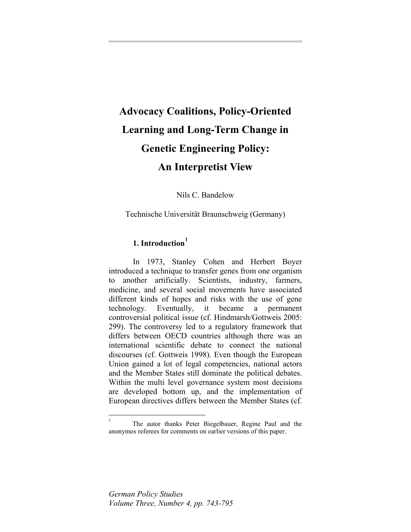# <span id="page-0-0"></span>**Advocacy Coalitions, Policy-Oriented Learning and Long-Term Change in Genetic Engineering Policy: An Interpretist View**

Nils C. Bandelow

Technische Universität Braunschweig (Germany)

## **1. Introduction[1](#page-0-0)**

In 1973, Stanley Cohen and Herbert Boyer introduced a technique to transfer genes from one organism to another artificially. Scientists, industry, farmers, medicine, and several social movements have associated different kinds of hopes and risks with the use of gene technology. Eventually, it became a permanent controversial political issue (cf. Hindmarsh/Gottweis 2005: 299). The controversy led to a regulatory framework that differs between OECD countries although there was an international scientific debate to connect the national discourses (cf. Gottweis 1998). Even though the European Union gained a lot of legal competencies, national actors and the Member States still dominate the political debates. Within the multi level governance system most decisions are developed bottom up, and the implementation of European directives differs between the Member States (cf.

 $\overline{a}$ 

<sup>1</sup> The autor thanks Peter Biegelbauer, Regine Paul and the anonymos referees for comments on earlier versions of this paper.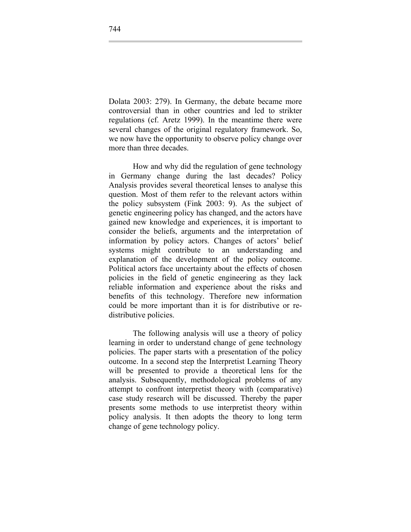Dolata 2003: 279). In Germany, the debate became more controversial than in other countries and led to strikter regulations (cf. Aretz 1999). In the meantime there were several changes of the original regulatory framework. So, we now have the opportunity to observe policy change over more than three decades.

How and why did the regulation of gene technology in Germany change during the last decades? Policy Analysis provides several theoretical lenses to analyse this question. Most of them refer to the relevant actors within the policy subsystem (Fink 2003: 9). As the subject of genetic engineering policy has changed, and the actors have gained new knowledge and experiences, it is important to consider the beliefs, arguments and the interpretation of information by policy actors. Changes of actors' belief systems might contribute to an understanding and explanation of the development of the policy outcome. Political actors face uncertainty about the effects of chosen policies in the field of genetic engineering as they lack reliable information and experience about the risks and benefits of this technology. Therefore new information could be more important than it is for distributive or redistributive policies.

The following analysis will use a theory of policy learning in order to understand change of gene technology policies. The paper starts with a presentation of the policy outcome. In a second step the Interpretist Learning Theory will be presented to provide a theoretical lens for the analysis. Subsequently, methodological problems of any attempt to confront interpretist theory with (comparative) case study research will be discussed. Thereby the paper presents some methods to use interpretist theory within policy analysis. It then adopts the theory to long term change of gene technology policy.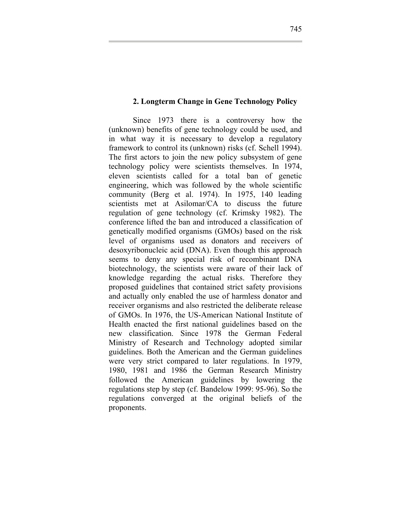#### **2. Longterm Change in Gene Technology Policy**

Since 1973 there is a controversy how the (unknown) benefits of gene technology could be used, and in what way it is necessary to develop a regulatory framework to control its (unknown) risks (cf. Schell 1994). The first actors to join the new policy subsystem of gene technology policy were scientists themselves. In 1974, eleven scientists called for a total ban of genetic engineering, which was followed by the whole scientific community (Berg et al. 1974). In 1975, 140 leading scientists met at Asilomar/CA to discuss the future regulation of gene technology (cf. Krimsky 1982). The conference lifted the ban and introduced a classification of genetically modified organisms (GMOs) based on the risk level of organisms used as donators and receivers of desoxyribonucleic acid (DNA). Even though this approach seems to deny any special risk of recombinant DNA biotechnology, the scientists were aware of their lack of knowledge regarding the actual risks. Therefore they proposed guidelines that contained strict safety provisions and actually only enabled the use of harmless donator and receiver organisms and also restricted the deliberate release of GMOs. In 1976, the US-American National Institute of Health enacted the first national guidelines based on the new classification. Since 1978 the German Federal Ministry of Research and Technology adopted similar guidelines. Both the American and the German guidelines were very strict compared to later regulations. In 1979, 1980, 1981 and 1986 the German Research Ministry followed the American guidelines by lowering the regulations step by step (cf. Bandelow 1999: 95-96). So the regulations converged at the original beliefs of the proponents.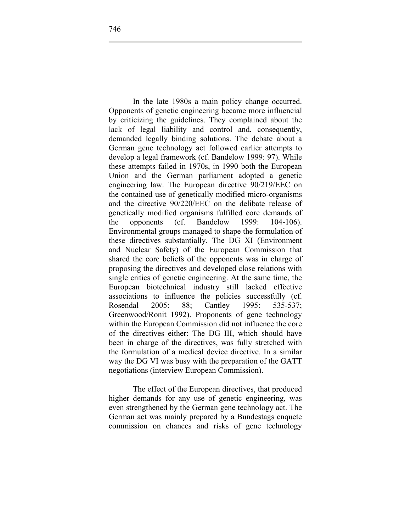In the late 1980s a main policy change occurred. Opponents of genetic engineering became more influencial by criticizing the guidelines. They complained about the lack of legal liability and control and, consequently, demanded legally binding solutions. The debate about a German gene technology act followed earlier attempts to develop a legal framework (cf. Bandelow 1999: 97). While these attempts failed in 1970s, in 1990 both the European Union and the German parliament adopted a genetic engineering law. The European directive 90/219/EEC on the contained use of genetically modified micro-organisms and the directive 90/220/EEC on the delibate release of genetically modified organisms fulfilled core demands of the opponents (cf. Bandelow 1999: 104-106). Environmental groups managed to shape the formulation of these directives substantially. The DG XI (Environment and Nuclear Safety) of the European Commission that shared the core beliefs of the opponents was in charge of proposing the directives and developed close relations with single critics of genetic engineering. At the same time, the European biotechnical industry still lacked effective associations to influence the policies successfully (cf. Rosendal 2005: 88; Cantley 1995: 535-537; Greenwood/Ronit 1992). Proponents of gene technology within the European Commission did not influence the core of the directives either: The DG III, which should have been in charge of the directives, was fully stretched with the formulation of a medical device directive. In a similar way the DG VI was busy with the preparation of the GATT negotiations (interview European Commission).

The effect of the European directives, that produced higher demands for any use of genetic engineering, was even strengthened by the German gene technology act. The German act was mainly prepared by a Bundestags enquete commission on chances and risks of gene technology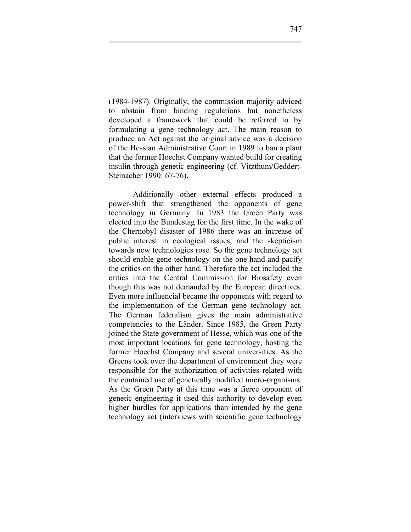(1984-1987). Originally, the commission majority adviced to abstain from binding regulations but nonetheless developed a framework that could be referred to by formulating a gene technology act. The main reason to produce an Act against the original advice was a decision of the Hessian Administrative Court in 1989 to ban a plant that the former Hoechst Company wanted build for creating insulin through genetic engineering (cf. Vitzthum/Geddert-Steinacher 1990: 67-76).

Additionally other external effects produced a power-shift that strengthened the opponents of gene technology in Germany. In 1983 the Green Party was elected into the Bundestag for the first time. In the wake of the Chernobyl disaster of 1986 there was an increase of public interest in ecological issues, and the skepticism towards new technologies rose. So the gene technology act should enable gene technology on the one hand and pacify the critics on the other hand. Therefore the act included the critics into the Central Commission for Biosafety even though this was not demanded by the European directives. Even more influencial became the opponents with regard to the implementation of the German gene technology act. The German federalism gives the main administrative competencies to the Länder. Since 1985, the Green Party joined the State government of Hesse, which was one of the most important locations for gene technology, hosting the former Hoechst Company and several universities. As the Greens took over the department of environment they were responsible for the authorization of activities related with the contained use of genetically modified micro-organisms. As the Green Party at this time was a fierce opponent of genetic engineering it used this authority to develop even higher hurdles for applications than intended by the gene technology act (interviews with scientific gene technology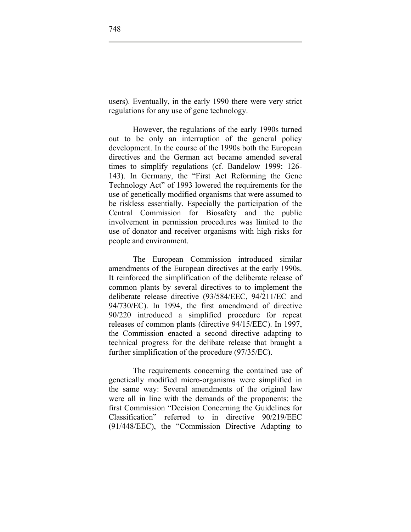users). Eventually, in the early 1990 there were very strict regulations for any use of gene technology.

However, the regulations of the early 1990s turned out to be only an interruption of the general policy development. In the course of the 1990s both the European directives and the German act became amended several times to simplify regulations (cf. Bandelow 1999: 126- 143). In Germany, the "First Act Reforming the Gene Technology Act" of 1993 lowered the requirements for the use of genetically modified organisms that were assumed to be riskless essentially. Especially the participation of the Central Commission for Biosafety and the public involvement in permission procedures was limited to the use of donator and receiver organisms with high risks for people and environment.

The European Commission introduced similar amendments of the European directives at the early 1990s. It reinforced the simplification of the deliberate release of common plants by several directives to to implement the deliberate release directive (93/584/EEC, 94/211/EC and 94/730/EC). In 1994, the first amendmend of directive 90/220 introduced a simplified procedure for repeat releases of common plants (directive 94/15/EEC). In 1997, the Commission enacted a second directive adapting to technical progress for the delibate release that braught a further simplification of the procedure (97/35/EC).

The requirements concerning the contained use of genetically modified micro-organisms were simplified in the same way: Several amendments of the original law were all in line with the demands of the proponents: the first Commission "Decision Concerning the Guidelines for Classification" referred to in directive 90/219/EEC (91/448/EEC), the "Commission Directive Adapting to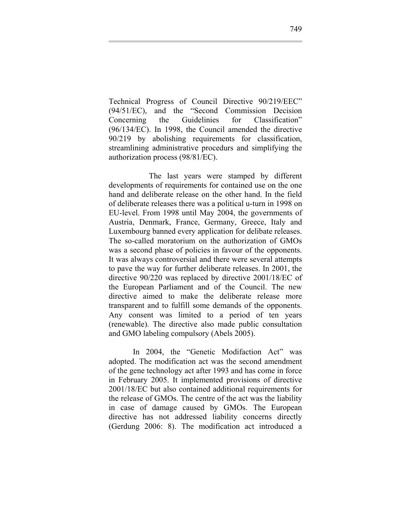Technical Progress of Council Directive 90/219/EEC" (94/51/EC), and the "Second Commission Decision Concerning the Guidelinies for Classification" (96/134/EC). In 1998, the Council amended the directive 90/219 by abolishing requirements for classification, streamlining administrative procedurs and simplifying the authorization process (98/81/EC).

 The last years were stamped by different developments of requirements for contained use on the one hand and deliberate release on the other hand. In the field of deliberate releases there was a political u-turn in 1998 on EU-level. From 1998 until May 2004, the governments of Austria, Denmark, France, Germany, Greece, Italy and Luxembourg banned every application for delibate releases. The so-called moratorium on the authorization of GMOs was a second phase of policies in favour of the opponents. It was always controversial and there were several attempts to pave the way for further deliberate releases. In 2001, the directive 90/220 was replaced by directive 2001/18/EC of the European Parliament and of the Council. The new directive aimed to make the deliberate release more transparent and to fulfill some demands of the opponents. Any consent was limited to a period of ten years (renewable). The directive also made public consultation and GMO labeling compulsory (Abels 2005).

In 2004, the "Genetic Modifaction Act" was adopted. The modification act was the second amendment of the gene technology act after 1993 and has come in force in February 2005. It implemented provisions of directive 2001/18/EC but also contained additional requirements for the release of GMOs. The centre of the act was the liability in case of damage caused by GMOs. The European directive has not addressed liability concerns directly (Gerdung 2006: 8). The modification act introduced a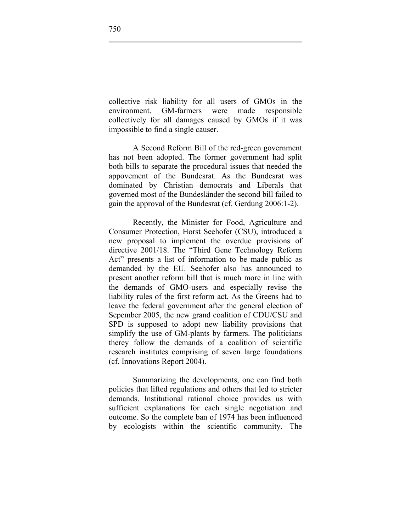collective risk liability for all users of GMOs in the environment. GM-farmers were made responsible collectively for all damages caused by GMOs if it was impossible to find a single causer.

A Second Reform Bill of the red-green government has not been adopted. The former government had split both bills to separate the procedural issues that needed the appovement of the Bundesrat. As the Bundesrat was dominated by Christian democrats and Liberals that governed most of the Bundesländer the second bill failed to gain the approval of the Bundesrat (cf. Gerdung 2006:1-2).

Recently, the Minister for Food, Agriculture and Consumer Protection, Horst Seehofer (CSU), introduced a new proposal to implement the overdue provisions of directive 2001/18. The "Third Gene Technology Reform Act" presents a list of information to be made public as demanded by the EU. Seehofer also has announced to present another reform bill that is much more in line with the demands of GMO-users and especially revise the liability rules of the first reform act. As the Greens had to leave the federal government after the general election of Sepember 2005, the new grand coalition of CDU/CSU and SPD is supposed to adopt new liability provisions that simplify the use of GM-plants by farmers. The politicians therey follow the demands of a coalition of scientific research institutes comprising of seven large foundations (cf. Innovations Report 2004).

Summarizing the developments, one can find both policies that lifted regulations and others that led to stricter demands. Institutional rational choice provides us with sufficient explanations for each single negotiation and outcome. So the complete ban of 1974 has been influenced by ecologists within the scientific community. The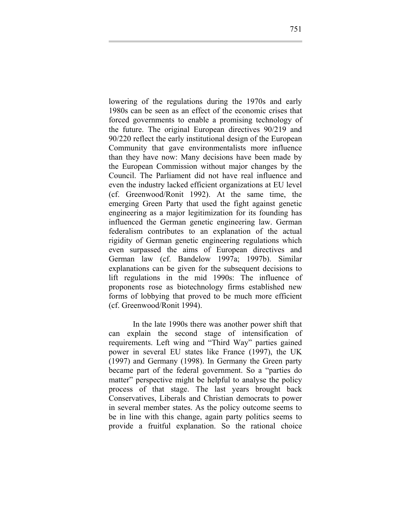lowering of the regulations during the 1970s and early 1980s can be seen as an effect of the economic crises that forced governments to enable a promising technology of the future. The original European directives 90/219 and 90/220 reflect the early institutional design of the European Community that gave environmentalists more influence than they have now: Many decisions have been made by the European Commission without major changes by the Council. The Parliament did not have real influence and even the industry lacked efficient organizations at EU level (cf. Greenwood/Ronit 1992). At the same time, the emerging Green Party that used the fight against genetic engineering as a major legitimization for its founding has influenced the German genetic engineering law. German federalism contributes to an explanation of the actual rigidity of German genetic engineering regulations which even surpassed the aims of European directives and German law (cf. Bandelow 1997a; 1997b). Similar explanations can be given for the subsequent decisions to lift regulations in the mid 1990s: The influence of proponents rose as biotechnology firms established new forms of lobbying that proved to be much more efficient (cf. Greenwood/Ronit 1994).

In the late 1990s there was another power shift that can explain the second stage of intensification of requirements. Left wing and "Third Way" parties gained power in several EU states like France (1997), the UK (1997) and Germany (1998). In Germany the Green party became part of the federal government. So a "parties do matter" perspective might be helpful to analyse the policy process of that stage. The last years brought back Conservatives, Liberals and Christian democrats to power in several member states. As the policy outcome seems to be in line with this change, again party politics seems to provide a fruitful explanation. So the rational choice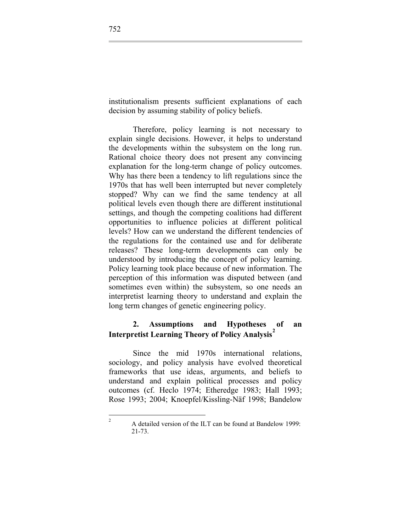<span id="page-9-0"></span>institutionalism presents sufficient explanations of each decision by assuming stability of policy beliefs.

Therefore, policy learning is not necessary to explain single decisions. However, it helps to understand the developments within the subsystem on the long run. Rational choice theory does not present any convincing explanation for the long-term change of policy outcomes. Why has there been a tendency to lift regulations since the 1970s that has well been interrupted but never completely stopped? Why can we find the same tendency at all political levels even though there are different institutional settings, and though the competing coalitions had different opportunities to influence policies at different political levels? How can we understand the different tendencies of the regulations for the contained use and for deliberate releases? These long-term developments can only be understood by introducing the concept of policy learning. Policy learning took place because of new information. The perception of this information was disputed between (and sometimes even within) the subsystem, so one needs an interpretist learning theory to understand and explain the long term changes of genetic engineering policy.

## **2. Assumptions and Hypotheses of an Interpretist Learning Theory of Policy Analysis[2](#page-9-0)**

Since the mid 1970s international relations, sociology, and policy analysis have evolved theoretical frameworks that use ideas, arguments, and beliefs to understand and explain political processes and policy outcomes (cf. Heclo 1974; Etheredge 1983; Hall 1993; Rose 1993; 2004; Knoepfel/Kissling-Näf 1998; Bandelow

 $\frac{1}{2}$ 

A detailed version of the ILT can be found at Bandelow 1999: 21-73.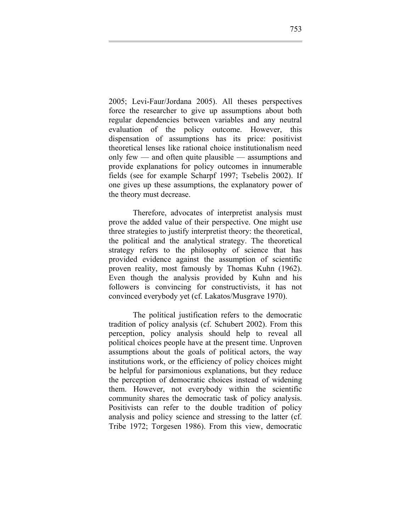2005; Levi-Faur/Jordana 2005). All theses perspectives force the researcher to give up assumptions about both regular dependencies between variables and any neutral evaluation of the policy outcome. However, this dispensation of assumptions has its price: positivist theoretical lenses like rational choice institutionalism need only few — and often quite plausible — assumptions and provide explanations for policy outcomes in innumerable fields (see for example Scharpf 1997; Tsebelis 2002). If one gives up these assumptions, the explanatory power of the theory must decrease.

Therefore, advocates of interpretist analysis must prove the added value of their perspective. One might use three strategies to justify interpretist theory: the theoretical, the political and the analytical strategy. The theoretical strategy refers to the philosophy of science that has provided evidence against the assumption of scientific proven reality, most famously by Thomas Kuhn (1962). Even though the analysis provided by Kuhn and his followers is convincing for constructivists, it has not convinced everybody yet (cf. Lakatos/Musgrave 1970).

The political justification refers to the democratic tradition of policy analysis (cf. Schubert 2002). From this perception, policy analysis should help to reveal all political choices people have at the present time. Unproven assumptions about the goals of political actors, the way institutions work, or the efficiency of policy choices might be helpful for parsimonious explanations, but they reduce the perception of democratic choices instead of widening them. However, not everybody within the scientific community shares the democratic task of policy analysis. Positivists can refer to the double tradition of policy analysis and policy science and stressing to the latter (cf. Tribe 1972; Torgesen 1986). From this view, democratic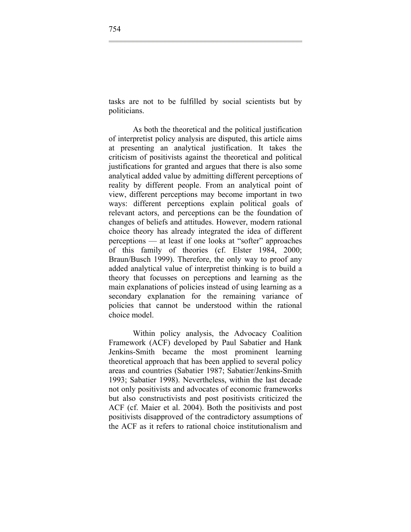tasks are not to be fulfilled by social scientists but by politicians.

As both the theoretical and the political justification of interpretist policy analysis are disputed, this article aims at presenting an analytical justification. It takes the criticism of positivists against the theoretical and political justifications for granted and argues that there is also some analytical added value by admitting different perceptions of reality by different people. From an analytical point of view, different perceptions may become important in two ways: different perceptions explain political goals of relevant actors, and perceptions can be the foundation of changes of beliefs and attitudes. However, modern rational choice theory has already integrated the idea of different perceptions — at least if one looks at "softer" approaches of this family of theories (cf. Elster 1984, 2000; Braun/Busch 1999). Therefore, the only way to proof any added analytical value of interpretist thinking is to build a theory that focusses on perceptions and learning as the main explanations of policies instead of using learning as a secondary explanation for the remaining variance of policies that cannot be understood within the rational choice model.

Within policy analysis, the Advocacy Coalition Framework (ACF) developed by Paul Sabatier and Hank Jenkins-Smith became the most prominent learning theoretical approach that has been applied to several policy areas and countries (Sabatier 1987; Sabatier/Jenkins-Smith 1993; Sabatier 1998). Nevertheless, within the last decade not only positivists and advocates of economic frameworks but also constructivists and post positivists criticized the ACF (cf. Maier et al. 2004). Both the positivists and post positivists disapproved of the contradictory assumptions of the ACF as it refers to rational choice institutionalism and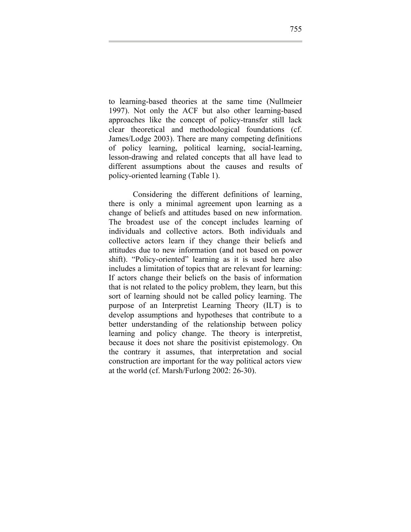to learning-based theories at the same time (Nullmeier 1997). Not only the ACF but also other learning-based approaches like the concept of policy-transfer still lack clear theoretical and methodological foundations (cf. James/Lodge 2003). There are many competing definitions of policy learning, political learning, social-learning, lesson-drawing and related concepts that all have lead to different assumptions about the causes and results of policy-oriented learning (Table 1).

Considering the different definitions of learning, there is only a minimal agreement upon learning as a change of beliefs and attitudes based on new information. The broadest use of the concept includes learning of individuals and collective actors. Both individuals and collective actors learn if they change their beliefs and attitudes due to new information (and not based on power shift). "Policy-oriented" learning as it is used here also includes a limitation of topics that are relevant for learning: If actors change their beliefs on the basis of information that is not related to the policy problem, they learn, but this sort of learning should not be called policy learning. The purpose of an Interpretist Learning Theory (ILT) is to develop assumptions and hypotheses that contribute to a better understanding of the relationship between policy learning and policy change. The theory is interpretist, because it does not share the positivist epistemology. On the contrary it assumes, that interpretation and social construction are important for the way political actors view at the world (cf. Marsh/Furlong 2002: 26-30).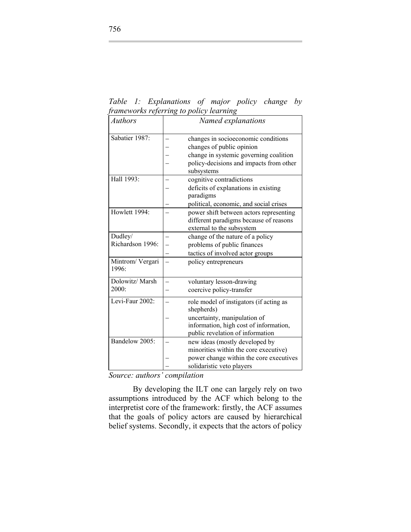*Table 1: Explanations of major policy change by frameworks referring to policy learning* 

| <b>Authors</b>   | Named explanations                      |
|------------------|-----------------------------------------|
|                  |                                         |
| Sabatier 1987:   |                                         |
|                  | changes in socioeconomic conditions     |
|                  | changes of public opinion               |
|                  | change in systemic governing coalition  |
|                  | policy-decisions and impacts from other |
|                  | subsystems                              |
| Hall 1993:       | cognitive contradictions                |
|                  | deficits of explanations in existing    |
|                  | paradigms                               |
|                  | political, economic, and social crises  |
| Howlett 1994:    | power shift between actors representing |
|                  | different paradigms because of reasons  |
|                  | external to the subsystem               |
| Dudley/          | change of the nature of a policy        |
| Richardson 1996: | problems of public finances             |
|                  | tactics of involved actor groups        |
| Mintrom/ Vergari | policy entrepreneurs                    |
| 1996:            |                                         |
|                  |                                         |
| Dolowitz/ Marsh  | voluntary lesson-drawing                |
| 2000:            | coercive policy-transfer                |
| Levi-Faur 2002:  | role model of instigators (if acting as |
|                  | shepherds)                              |
|                  | uncertainty, manipulation of            |
|                  | information, high cost of information,  |
|                  | public revelation of information        |
| Bandelow 2005:   | new ideas (mostly developed by          |
|                  | minorities within the core executive)   |
|                  | power change within the core executives |
|                  | solidaristic veto players               |
|                  |                                         |

*Source: authors' compilation* 

By developing the ILT one can largely rely on two assumptions introduced by the ACF which belong to the interpretist core of the framework: firstly, the ACF assumes that the goals of policy actors are caused by hierarchical belief systems. Secondly, it expects that the actors of policy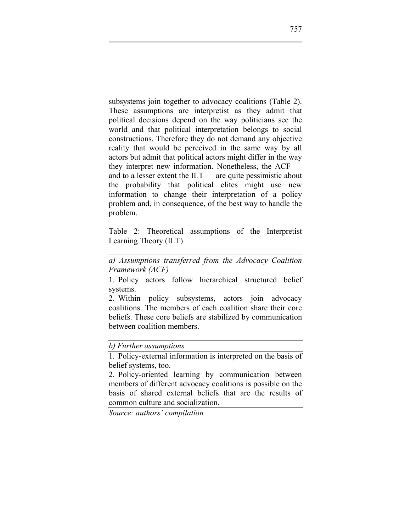subsystems join together to advocacy coalitions (Table 2). These assumptions are interpretist as they admit that political decisions depend on the way politicians see the world and that political interpretation belongs to social constructions. Therefore they do not demand any objective reality that would be perceived in the same way by all actors but admit that political actors might differ in the way they interpret new information. Nonetheless, the ACF and to a lesser extent the ILT — are quite pessimistic about the probability that political elites might use new information to change their interpretation of a policy problem and, in consequence, of the best way to handle the problem.

Table 2: Theoretical assumptions of the Interpretist Learning Theory (ILT)

*a) Assumptions transferred from the Advocacy Coalition Framework (ACF)* 

1. Policy actors follow hierarchical structured belief systems.

2. Within policy subsystems, actors join advocacy coalitions. The members of each coalition share their core beliefs. These core beliefs are stabilized by communication between coalition members.

*b) Further assumptions* 

1. Policy-external information is interpreted on the basis of belief systems, too.

2. Policy-oriented learning by communication between members of different advocacy coalitions is possible on the basis of shared external beliefs that are the results of common culture and socialization.

*Source: authors' compilation*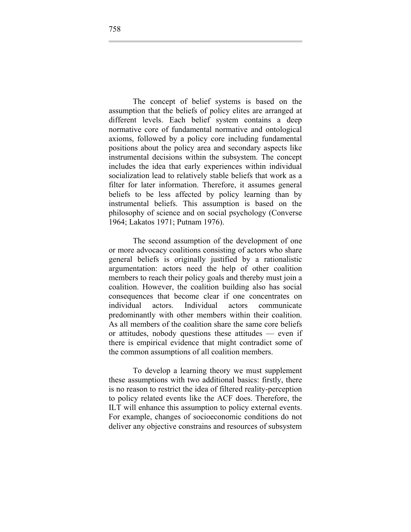The concept of belief systems is based on the assumption that the beliefs of policy elites are arranged at different levels. Each belief system contains a deep normative core of fundamental normative and ontological axioms, followed by a policy core including fundamental positions about the policy area and secondary aspects like instrumental decisions within the subsystem. The concept includes the idea that early experiences within individual socialization lead to relatively stable beliefs that work as a filter for later information. Therefore, it assumes general beliefs to be less affected by policy learning than by instrumental beliefs. This assumption is based on the philosophy of science and on social psychology (Converse 1964; Lakatos 1971; Putnam 1976).

The second assumption of the development of one or more advocacy coalitions consisting of actors who share general beliefs is originally justified by a rationalistic argumentation: actors need the help of other coalition members to reach their policy goals and thereby must join a coalition. However, the coalition building also has social consequences that become clear if one concentrates on individual actors. Individual actors communicate predominantly with other members within their coalition. As all members of the coalition share the same core beliefs or attitudes, nobody questions these attitudes — even if there is empirical evidence that might contradict some of the common assumptions of all coalition members.

To develop a learning theory we must supplement these assumptions with two additional basics: firstly, there is no reason to restrict the idea of filtered reality-perception to policy related events like the ACF does. Therefore, the ILT will enhance this assumption to policy external events. For example, changes of socioeconomic conditions do not deliver any objective constrains and resources of subsystem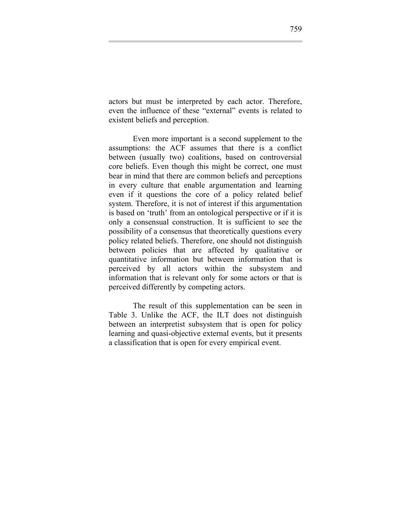actors but must be interpreted by each actor. Therefore, even the influence of these "external" events is related to existent beliefs and perception.

Even more important is a second supplement to the assumptions: the ACF assumes that there is a conflict between (usually two) coalitions, based on controversial core beliefs. Even though this might be correct, one must bear in mind that there are common beliefs and perceptions in every culture that enable argumentation and learning even if it questions the core of a policy related belief system. Therefore, it is not of interest if this argumentation is based on 'truth' from an ontological perspective or if it is only a consensual construction. It is sufficient to see the possibility of a consensus that theoretically questions every policy related beliefs. Therefore, one should not distinguish between policies that are affected by qualitative or quantitative information but between information that is perceived by all actors within the subsystem and information that is relevant only for some actors or that is perceived differently by competing actors.

The result of this supplementation can be seen in Table 3. Unlike the ACF, the ILT does not distinguish between an interpretist subsystem that is open for policy learning and quasi-objective external events, but it presents a classification that is open for every empirical event.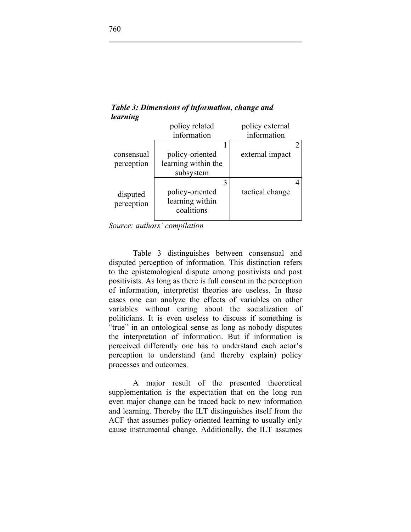|            | policy related      | policy external |
|------------|---------------------|-----------------|
|            | information         | information     |
|            |                     |                 |
| consensual | policy-oriented     | external impact |
| perception | learning within the |                 |
|            | subsystem           |                 |
|            |                     |                 |
| disputed   | policy-oriented     | tactical change |
| perception | learning within     |                 |
|            | coalitions          |                 |
|            |                     |                 |

*Table 3: Dimensions of information, change and learning* 

*Source: authors' compilation* 

Table 3 distinguishes between consensual and disputed perception of information. This distinction refers to the epistemological dispute among positivists and post positivists. As long as there is full consent in the perception of information, interpretist theories are useless. In these cases one can analyze the effects of variables on other variables without caring about the socialization of politicians. It is even useless to discuss if something is "true" in an ontological sense as long as nobody disputes the interpretation of information. But if information is perceived differently one has to understand each actor's perception to understand (and thereby explain) policy processes and outcomes.

A major result of the presented theoretical supplementation is the expectation that on the long run even major change can be traced back to new information and learning. Thereby the ILT distinguishes itself from the ACF that assumes policy-oriented learning to usually only cause instrumental change. Additionally, the ILT assumes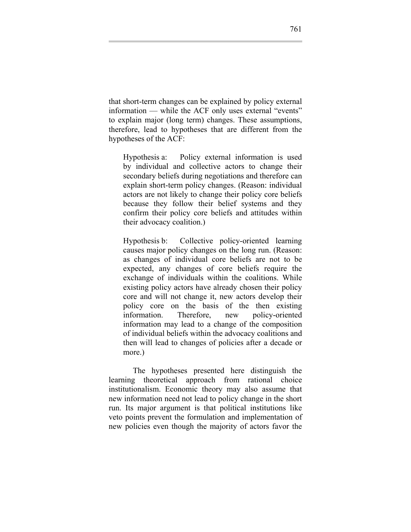that short-term changes can be explained by policy external information — while the ACF only uses external "events" to explain major (long term) changes. These assumptions, therefore, lead to hypotheses that are different from the hypotheses of the ACF:

Hypothesis a: Policy external information is used by individual and collective actors to change their secondary beliefs during negotiations and therefore can explain short-term policy changes. (Reason: individual actors are not likely to change their policy core beliefs because they follow their belief systems and they confirm their policy core beliefs and attitudes within their advocacy coalition.)

Hypothesis b: Collective policy-oriented learning causes major policy changes on the long run. (Reason: as changes of individual core beliefs are not to be expected, any changes of core beliefs require the exchange of individuals within the coalitions. While existing policy actors have already chosen their policy core and will not change it, new actors develop their policy core on the basis of the then existing information. Therefore, new policy-oriented information may lead to a change of the composition of individual beliefs within the advocacy coalitions and then will lead to changes of policies after a decade or more.)

The hypotheses presented here distinguish the learning theoretical approach from rational choice institutionalism. Economic theory may also assume that new information need not lead to policy change in the short run. Its major argument is that political institutions like veto points prevent the formulation and implementation of new policies even though the majority of actors favor the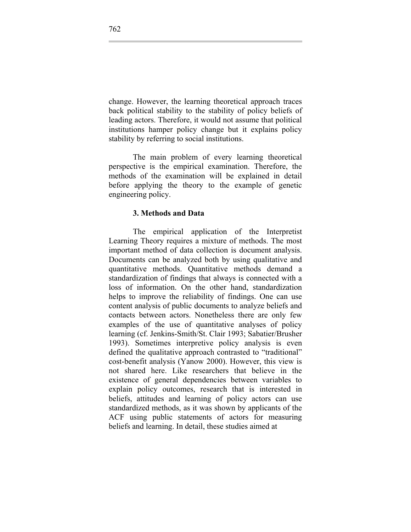change. However, the learning theoretical approach traces back political stability to the stability of policy beliefs of leading actors. Therefore, it would not assume that political institutions hamper policy change but it explains policy stability by referring to social institutions.

The main problem of every learning theoretical perspective is the empirical examination. Therefore, the methods of the examination will be explained in detail before applying the theory to the example of genetic engineering policy.

#### **3. Methods and Data**

The empirical application of the Interpretist Learning Theory requires a mixture of methods. The most important method of data collection is document analysis. Documents can be analyzed both by using qualitative and quantitative methods. Quantitative methods demand a standardization of findings that always is connected with a loss of information. On the other hand, standardization helps to improve the reliability of findings. One can use content analysis of public documents to analyze beliefs and contacts between actors. Nonetheless there are only few examples of the use of quantitative analyses of policy learning (cf. Jenkins-Smith/St. Clair 1993; Sabatier/Brusher 1993). Sometimes interpretive policy analysis is even defined the qualitative approach contrasted to "traditional" cost-benefit analysis (Yanow 2000). However, this view is not shared here. Like researchers that believe in the existence of general dependencies between variables to explain policy outcomes, research that is interested in beliefs, attitudes and learning of policy actors can use standardized methods, as it was shown by applicants of the ACF using public statements of actors for measuring beliefs and learning. In detail, these studies aimed at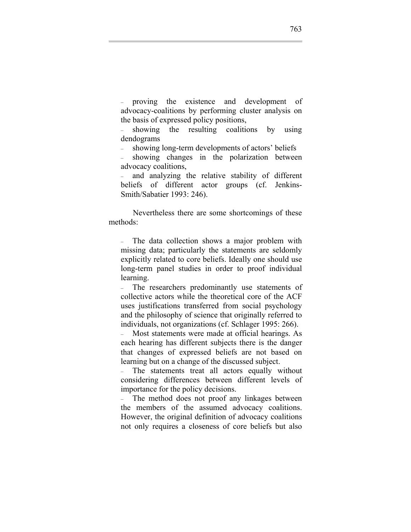– proving the existence and development of advocacy-coalitions by performing cluster analysis on the basis of expressed policy positions,

– showing the resulting coalitions by using dendograms

– showing long-term developments of actors' beliefs

– showing changes in the polarization between advocacy coalitions,

– and analyzing the relative stability of different beliefs of different actor groups (cf. Jenkins-Smith/Sabatier 1993: 246).

Nevertheless there are some shortcomings of these methods:

– The data collection shows a major problem with missing data; particularly the statements are seldomly explicitly related to core beliefs. Ideally one should use long-term panel studies in order to proof individual learning.

– The researchers predominantly use statements of collective actors while the theoretical core of the ACF uses justifications transferred from social psychology and the philosophy of science that originally referred to individuals, not organizations (cf. Schlager 1995: 266).

– Most statements were made at official hearings. As each hearing has different subjects there is the danger that changes of expressed beliefs are not based on learning but on a change of the discussed subject.

– The statements treat all actors equally without considering differences between different levels of importance for the policy decisions.

– The method does not proof any linkages between the members of the assumed advocacy coalitions. However, the original definition of advocacy coalitions not only requires a closeness of core beliefs but also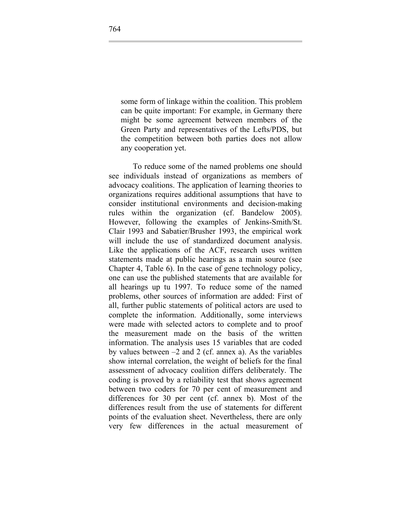some form of linkage within the coalition. This problem can be quite important: For example, in Germany there might be some agreement between members of the Green Party and representatives of the Lefts/PDS, but the competition between both parties does not allow any cooperation yet.

To reduce some of the named problems one should see individuals instead of organizations as members of advocacy coalitions. The application of learning theories to organizations requires additional assumptions that have to consider institutional environments and decision-making rules within the organization (cf. Bandelow 2005). However, following the examples of Jenkins-Smith/St. Clair 1993 and Sabatier/Brusher 1993, the empirical work will include the use of standardized document analysis. Like the applications of the ACF, research uses written statements made at public hearings as a main source (see Chapter 4, Table 6). In the case of gene technology policy, one can use the published statements that are available for all hearings up tu 1997. To reduce some of the named problems, other sources of information are added: First of all, further public statements of political actors are used to complete the information. Additionally, some interviews were made with selected actors to complete and to proof the measurement made on the basis of the written information. The analysis uses 15 variables that are coded by values between –2 and 2 (cf. annex a). As the variables show internal correlation, the weight of beliefs for the final assessment of advocacy coalition differs deliberately. The coding is proved by a reliability test that shows agreement between two coders for 70 per cent of measurement and differences for 30 per cent (cf. annex b). Most of the differences result from the use of statements for different points of the evaluation sheet. Nevertheless, there are only very few differences in the actual measurement of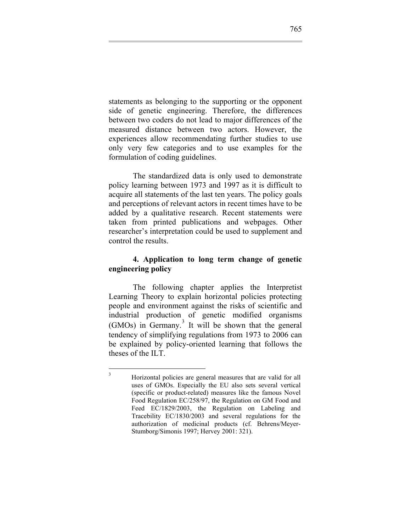<span id="page-22-0"></span>statements as belonging to the supporting or the opponent side of genetic engineering. Therefore, the differences between two coders do not lead to major differences of the measured distance between two actors. However, the experiences allow recommendating further studies to use only very few categories and to use examples for the formulation of coding guidelines.

The standardized data is only used to demonstrate policy learning between 1973 and 1997 as it is difficult to acquire all statements of the last ten years. The policy goals and perceptions of relevant actors in recent times have to be added by a qualitative research. Recent statements were taken from printed publications and webpages. Other researcher's interpretation could be used to supplement and control the results.

### **4. Application to long term change of genetic engineering policy**

The following chapter applies the Interpretist Learning Theory to explain horizontal policies protecting people and environment against the risks of scientific and industrial production of genetic modified organisms (GMOs) in Germany.<sup>[3](#page-22-0)</sup> It will be shown that the general tendency of simplifying regulations from 1973 to 2006 can be explained by policy-oriented learning that follows the theses of the ILT.

 $\frac{1}{3}$ 

Horizontal policies are general measures that are valid for all uses of GMOs. Especially the EU also sets several vertical (specific or product-related) measures like the famous Novel Food Regulation EC/258/97, the Regulation on GM Food and Feed EC/1829/2003, the Regulation on Labeling and Tracebility EC/1830/2003 and several regulations for the authorization of medicinal products (cf. Behrens/Meyer-Stumborg/Simonis 1997; Hervey 2001: 321).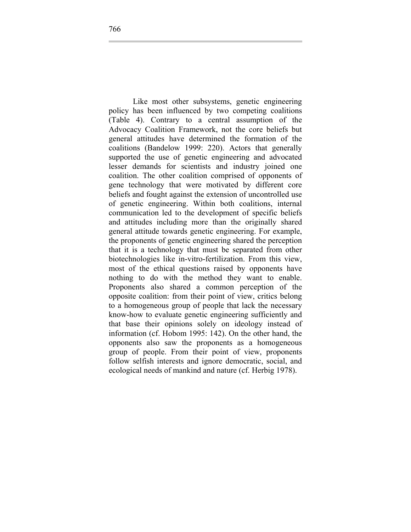Like most other subsystems, genetic engineering policy has been influenced by two competing coalitions (Table 4). Contrary to a central assumption of the Advocacy Coalition Framework, not the core beliefs but general attitudes have determined the formation of the coalitions (Bandelow 1999: 220). Actors that generally supported the use of genetic engineering and advocated lesser demands for scientists and industry joined one coalition. The other coalition comprised of opponents of gene technology that were motivated by different core beliefs and fought against the extension of uncontrolled use of genetic engineering. Within both coalitions, internal communication led to the development of specific beliefs and attitudes including more than the originally shared general attitude towards genetic engineering. For example, the proponents of genetic engineering shared the perception that it is a technology that must be separated from other biotechnologies like in-vitro-fertilization. From this view, most of the ethical questions raised by opponents have nothing to do with the method they want to enable. Proponents also shared a common perception of the opposite coalition: from their point of view, critics belong to a homogeneous group of people that lack the necessary know-how to evaluate genetic engineering sufficiently and that base their opinions solely on ideology instead of information (cf. Hobom 1995: 142). On the other hand, the opponents also saw the proponents as a homogeneous group of people. From their point of view, proponents follow selfish interests and ignore democratic, social, and ecological needs of mankind and nature (cf. Herbig 1978).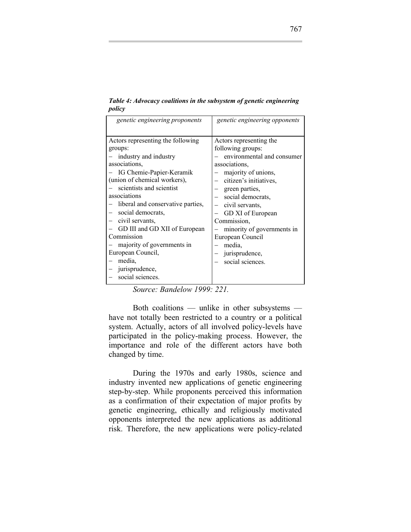| genetic engineering proponents    | genetic engineering opponents |
|-----------------------------------|-------------------------------|
| Actors representing the following | Actors representing the       |
| groups:                           | following groups:             |
| industry and industry             | environmental and consumer    |
| associations,                     | associations,                 |
| IG Chemie-Papier-Keramik          | majority of unions,           |
| (union of chemical workers),      | citizen's initiatives,        |
| scientists and scientist          | green parties,                |
| associations                      | social democrats,             |
| liberal and conservative parties, | civil servants,               |
| social democrats,                 | GD XI of European             |
| civil servants,                   | Commission.                   |
| GD III and GD XII of European     | minority of governments in    |
| Commission                        | European Council              |
| majority of governments in        | media,                        |
| European Council,                 | jurisprudence,                |
| media,                            | social sciences.              |
| jurisprudence,                    |                               |
|                                   |                               |
| social sciences.                  |                               |

*Table 4: Advocacy coalitions in the subsystem of genetic engineering policy* 

*Source: Bandelow 1999: 221.*

Both coalitions — unlike in other subsystems have not totally been restricted to a country or a political system. Actually, actors of all involved policy-levels have participated in the policy-making process. However, the importance and role of the different actors have both changed by time.

During the 1970s and early 1980s, science and industry invented new applications of genetic engineering step-by-step. While proponents perceived this information as a confirmation of their expectation of major profits by genetic engineering, ethically and religiously motivated opponents interpreted the new applications as additional risk. Therefore, the new applications were policy-related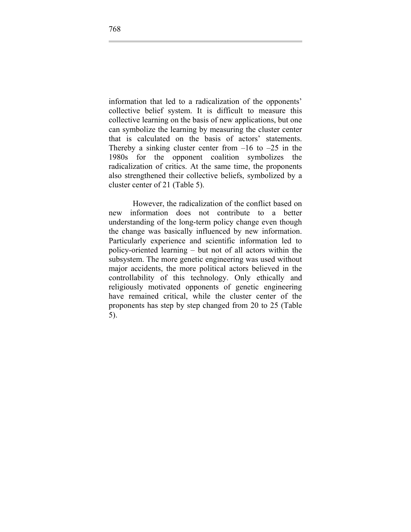information that led to a radicalization of the opponents' collective belief system. It is difficult to measure this collective learning on the basis of new applications, but one can symbolize the learning by measuring the cluster center that is calculated on the basis of actors' statements. Thereby a sinking cluster center from  $-16$  to  $-25$  in the 1980s for the opponent coalition symbolizes the radicalization of critics. At the same time, the proponents also strengthened their collective beliefs, symbolized by a cluster center of 21 (Table 5).

However, the radicalization of the conflict based on new information does not contribute to a better understanding of the long-term policy change even though the change was basically influenced by new information. Particularly experience and scientific information led to policy-oriented learning – but not of all actors within the subsystem. The more genetic engineering was used without major accidents, the more political actors believed in the controllability of this technology. Only ethically and religiously motivated opponents of genetic engineering have remained critical, while the cluster center of the proponents has step by step changed from 20 to 25 (Table 5).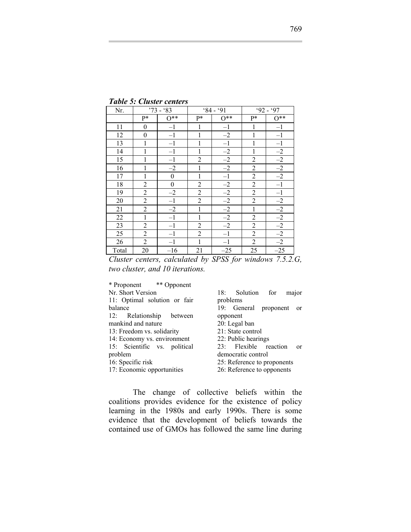*Table 5: Cluster centers* 

| Nr.             |                | $'73 - '83$      |                | $84 - 91$ |                | $92 - 97$       |
|-----------------|----------------|------------------|----------------|-----------|----------------|-----------------|
|                 | P*             | $0**$            | P*             | $0**$     | P*             | $0**$           |
| 11              | $\theta$       | $-1$             |                | $-1$      | 1              | $-1$            |
| 12              | $\theta$       | $-1$             |                | $-2$      | 1              | $-1$            |
| 13              | 1              | $-1$             |                | $-1$      | 1              | $-1$            |
| 14              | 1              | $-1$             | 1              | $-2$      | 1              | $-2$            |
| 15              | 1              | $-1$             | $\overline{2}$ | $-2$      | $\overline{c}$ | $-2$            |
| 16              | 1              | $-2$             | $\mathbf{1}$   | $-2$      | $\overline{c}$ | $-2$            |
| 17              | 1              | $\boldsymbol{0}$ | $\mathbf{1}$   | $-1$      | $\overline{c}$ | $-2$            |
| 18              | $\overline{2}$ | $\boldsymbol{0}$ | $\overline{2}$ | $-2$      | $\overline{c}$ | $\overline{-1}$ |
| 19              | $\overline{2}$ | $-2$             | $\overline{2}$ | $-2$      | $\overline{c}$ | $-1$            |
| 20              | $\overline{2}$ | $-1$             | $\overline{2}$ | $-2$      | $\overline{c}$ | $-2$            |
| 21              | $\overline{2}$ | $-2$             | $\mathbf{1}$   | $-2$      | $\mathbf{1}$   | $-2$            |
| $\overline{22}$ | $\mathbf{1}$   | $-1$             | $\mathbf{1}$   | $-2$      | $\overline{2}$ | $-2$            |
| $\overline{23}$ | $\overline{2}$ | $-1$             | $\overline{2}$ | $-2$      | $\overline{c}$ | $-2$            |
| 25              | $\overline{2}$ | $-1$             | $\overline{2}$ | $-1$      | $\overline{c}$ | $-2$            |
| 26              | $\overline{2}$ | $-1$             | 1              | $-1$      | $\overline{c}$ | $-2$            |
| Total           | 20             | $-16$            | 21             | $-25$     | 25             | $-25$           |

*Cluster centers, calculated by SPSS for windows 7.5.2.G, two cluster, and 10 iterations.* 

| * Proponent ** Opponent      |                                        |
|------------------------------|----------------------------------------|
| Nr. Short Version            | 18: Solution for<br>major              |
| 11: Optimal solution or fair | problems                               |
| balance                      | 19: General proponent<br><sub>or</sub> |
| 12: Relationship between     | opponent                               |
| mankind and nature           | 20: Legal ban                          |
| 13: Freedom vs. solidarity   | 21: State control                      |
| 14: Economy vs. environment  | 22: Public hearings                    |
| 15: Scientific vs. political | 23: Flexible reaction<br>$\alpha$      |
| problem                      | democratic control                     |
| 16: Specific risk            | 25: Reference to proponents            |
| 17: Economic opportunities   | 26: Reference to opponents             |

The change of collective beliefs within the coalitions provides evidence for the existence of policy learning in the 1980s and early 1990s. There is some evidence that the development of beliefs towards the contained use of GMOs has followed the same line during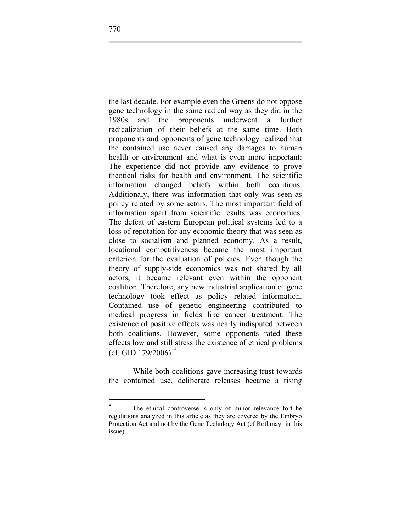the last decade. For example even the Greens do not oppose gene technology in the same radical way as they did in the 1980s and the proponents underwent a further radicalization of their beliefs at the same time. Both proponents and opponents of gene technology realized that the contained use never caused any damages to human health or environment and what is even more important: The experience did not provide any evidence to prove theotical risks for health and environment. The scientific information changed beliefs within both coalitions. Additionaly, there was information that only was seen as policy related by some actors. The most important field of information apart from scientific results was economics. The defeat of eastern European political systems led to a loss of reputation for any economic theory that was seen as close to socialism and planned economy. As a result, locational competitiveness became the most important criterion for the evaluation of policies. Even though the theory of supply-side economics was not shared by all actors, it became relevant even within the opponent coalition. Therefore, any new industrial application of gene technology took effect as policy related information. Contained use of genetic engineering contributed to medical progress in fields like cancer treatment. The existence of positive effects was nearly indisputed between both coalitions. However, some opponents rated these effects low and still stress the existence of ethical problems (cf. GID  $179/2006$ ).<sup>[4](#page-27-0)</sup>

While both coalitions gave increasing trust towards the contained use, deliberate releases became a rising

<span id="page-27-0"></span> $\frac{1}{4}$  The ethical controverse is only of minor relevance fort he regulations analyzed in this article as they are covered by the Embryo Protection Act and not by the Gene Technlogy Act (cf Rothmayr in this issue).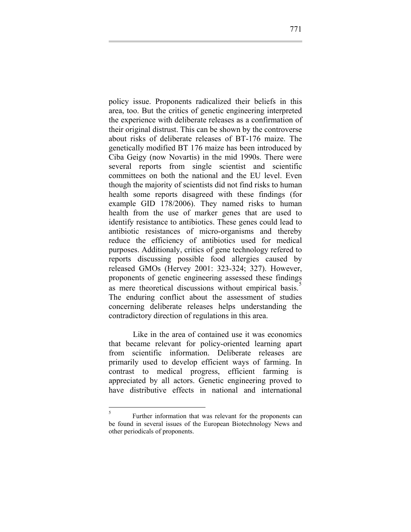policy issue. Proponents radicalized their beliefs in this area, too. But the critics of genetic engineering interpreted the experience with deliberate releases as a confirmation of their original distrust. This can be shown by the controverse about risks of deliberate releases of BT-176 maize. The genetically modified BT 176 maize has been introduced by Ciba Geigy (now Novartis) in the mid 1990s. There were several reports from single scientist and scientific committees on both the national and the EU level. Even though the majority of scientists did not find risks to human health some reports disagreed with these findings (for example GID 178/2006). They named risks to human health from the use of marker genes that are used to identify resistance to antibiotics. These genes could lead to antibiotic resistances of micro-organisms and thereby reduce the efficiency of antibiotics used for medical purposes. Additionaly, critics of gene technology refered to reports discussing possible food allergies caused by released GMOs (Hervey 2001: 323-324; 327). However, proponents of genetic engineering assessed these findings as mere theoretical discussions without empirical basis.<sup>[5](#page-28-0)</sup> The enduring conflict about the assessment of studies concerning deliberate releases helps understanding the contradictory direction of regulations in this area.

Like in the area of contained use it was economics that became relevant for policy-oriented learning apart from scientific information. Deliberate releases are primarily used to develop efficient ways of farming. In contrast to medical progress, efficient farming is appreciated by all actors. Genetic engineering proved to have distributive effects in national and international

<span id="page-28-0"></span> 5 Further information that was relevant for the proponents can be found in several issues of the European Biotechnology News and other periodicals of proponents.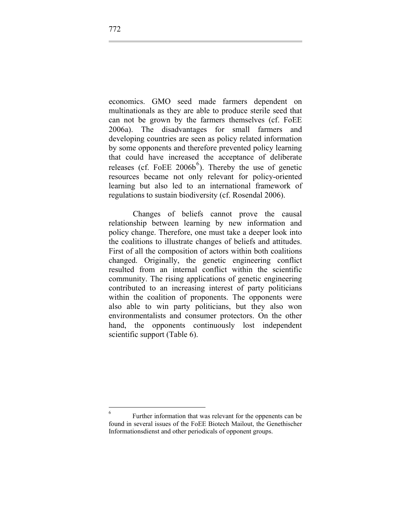economics. GMO seed made farmers dependent on multinationals as they are able to produce sterile seed that can not be grown by the farmers themselves (cf. FoEE 2006a). The disadvantages for small farmers and developing countries are seen as policy related information by some opponents and therefore prevented policy learning that could have increased the acceptance of deliberate releases (cf. FoEE  $2006b^{6}$  $2006b^{6}$  $2006b^{6}$ ). Thereby the use of genetic resources became not only relevant for policy-oriented learning but also led to an international framework of regulations to sustain biodiversity (cf. Rosendal 2006).

Changes of beliefs cannot prove the causal relationship between learning by new information and policy change. Therefore, one must take a deeper look into the coalitions to illustrate changes of beliefs and attitudes. First of all the composition of actors within both coalitions changed. Originally, the genetic engineering conflict resulted from an internal conflict within the scientific community. The rising applications of genetic engineering contributed to an increasing interest of party politicians within the coalition of proponents. The opponents were also able to win party politicians, but they also won environmentalists and consumer protectors. On the other hand, the opponents continuously lost independent scientific support (Table 6).

<span id="page-29-0"></span> $\frac{1}{6}$  Further information that was relevant for the oppenents can be found in several issues of the FoEE Biotech Mailout, the Genethischer Informationsdienst and other periodicals of opponent groups.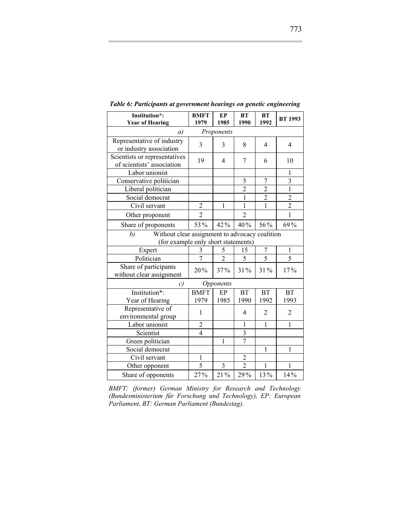| Institution*:<br><b>Year of Hearing</b>                                                     | <b>BMFT</b><br>1979 | <b>EP</b><br>1985       | <b>BT</b><br>1990 | <b>BT</b><br>1992 | <b>BT 1993</b> |
|---------------------------------------------------------------------------------------------|---------------------|-------------------------|-------------------|-------------------|----------------|
| a)                                                                                          |                     | Proponents              |                   |                   |                |
| Representative of industry<br>or industry association                                       | 3                   | 3                       | 8                 | 4                 | $\overline{4}$ |
| Scientists or representatives<br>of scientists' association                                 | 19                  | 4                       | 7                 | 6                 | 10             |
| Labor unionist                                                                              |                     |                         |                   |                   | $\mathbf{1}$   |
| Conservative politician                                                                     |                     |                         | 5                 | 7                 | $\overline{3}$ |
| Liberal politician                                                                          |                     |                         | $\overline{2}$    | $\overline{2}$    | $\mathbf{1}$   |
| Social democrat                                                                             |                     |                         | $\mathbf{1}$      | $\overline{c}$    | $\overline{c}$ |
| Civil servant                                                                               | $\overline{2}$      | $\mathbf{1}$            | $\overline{1}$    | $\overline{1}$    | $\overline{2}$ |
| Other proponent                                                                             | $\overline{2}$      |                         | $\overline{2}$    |                   | $\mathbf{1}$   |
| Share of proponents                                                                         | 53%                 | 42%                     | 40%               | 56%               | 69%            |
| b)<br>Without clear assignment to advocacy coalition<br>(for example only short statements) |                     |                         |                   |                   |                |
| Expert                                                                                      | 3                   | 5                       | 15                | 7                 | 1              |
| Politician                                                                                  | 7                   | $\overline{2}$          | 5                 | 5                 | 5              |
| Share of participants<br>without clear assignment                                           | 20%                 | 37%                     | 31%               | 31%               | 17%            |
| c)                                                                                          |                     | Opponents               |                   |                   |                |
| Institution*:                                                                               | <b>BMFT</b>         | EP                      | <b>BT</b>         | <b>BT</b>         | <b>BT</b>      |
| Year of Hearing                                                                             | 1979                | 1985                    | 1990              | 1992              | 1993           |
| Representative of<br>environmental group                                                    | $\mathbf{1}$        |                         | 4                 | 2                 | $\overline{2}$ |
| Labor unionist                                                                              | $\overline{c}$      |                         | 1                 | 1                 | $\mathbf{1}$   |
| Scientist                                                                                   | $\overline{4}$      |                         | 3                 |                   |                |
| Green politician                                                                            |                     | 1                       | 7                 |                   |                |
| Social democrat                                                                             |                     |                         |                   | 1                 | 1              |
| Civil servant                                                                               | 1                   |                         | $\overline{c}$    |                   |                |
| Other opponent                                                                              | $\overline{5}$      | $\overline{\mathbf{3}}$ | $\overline{2}$    | $\mathbf{1}$      | $\mathbf{1}$   |
| Share of opponents                                                                          | 27%                 | 21%                     | 29%               | 13%               | 14%            |

*Table 6: Participants at government hearings on genetic engineering* 

*BMFT: (former) German Ministry for Research and Technology (Bundesministerium für Forschung und Technology), EP: European Parliament, BT: German Parliament (Bundestag).*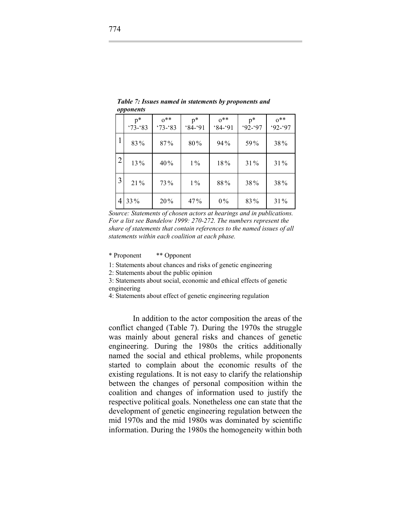|                | $v_{\rm}$ $v_{\rm}$ $v_{\rm}$ $v_{\rm}$ $v_{\rm}$ |                        |                    |                       |                    |                       |
|----------------|---------------------------------------------------|------------------------|--------------------|-----------------------|--------------------|-----------------------|
|                | $p^*$<br>$'73 - 83$                               | $0^{**}$<br>$'73 - 83$ | $p^*$<br>$84 - 91$ | $0^{**}$<br>$84 - 91$ | $p^*$<br>$92 - 97$ | $0^{**}$<br>$92 - 97$ |
| 1              | 83%                                               | 87%                    | 80%                | 94%                   | 59%                | 38%                   |
| $\overline{2}$ | 13%                                               | 40%                    | $1\%$              | 18%                   | 31%                | 31%                   |
| 3              | 21%                                               | 73%                    | $1\%$              | 88%                   | 38%                | 38%                   |
| 4              | 33 %                                              | 20%                    | $47\%$             | $0\%$                 | 83%                | 31%                   |

*Table 7: Issues named in statements by proponents and opponents* 

*Source: Statements of chosen actors at hearings and in publications. For a list see Bandelow 1999: 270-272. The numbers represent the share of statements that contain references to the named issues of all statements within each coalition at each phase.* 

#### \* Proponent \*\* Opponent

1: Statements about chances and risks of genetic engineering

2: Statements about the public opinion

3: Statements about social, economic and ethical effects of genetic engineering

4: Statements about effect of genetic engineering regulation

In addition to the actor composition the areas of the conflict changed (Table 7). During the 1970s the struggle was mainly about general risks and chances of genetic engineering. During the 1980s the critics additionally named the social and ethical problems, while proponents started to complain about the economic results of the existing regulations. It is not easy to clarify the relationship between the changes of personal composition within the coalition and changes of information used to justify the respective political goals. Nonetheless one can state that the development of genetic engineering regulation between the mid 1970s and the mid 1980s was dominated by scientific information. During the 1980s the homogeneity within both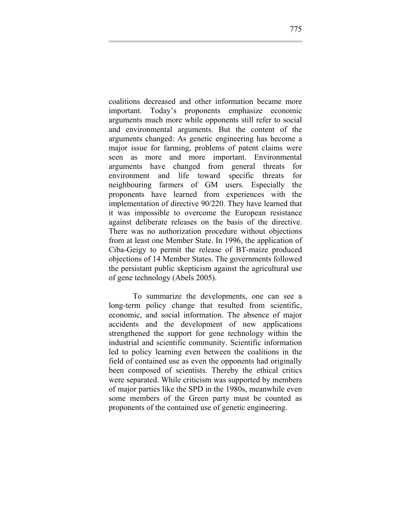coalitions decreased and other information became more important. Today's proponents emphasize economic arguments much more while opponents still refer to social and environmental arguments. But the content of the arguments changed: As genetic engineering has become a major issue for farming, problems of patent claims were seen as more and more important. Environmental arguments have changed from general threats for environment and life toward specific threats for neighbouring farmers of GM users. Especially the proponents have learned from experiences with the implementation of directive 90/220. They have learned that it was impossible to overcome the European resistance against deliberate releases on the basis of the directive. There was no authorization procedure without objections from at least one Member State. In 1996, the application of Ciba-Geigy to permit the release of BT-maize produced objections of 14 Member States. The governments followed the persistant public skepticism against the agricultural use of gene technology (Abels 2005).

To summarize the developments, one can see a long-term policy change that resulted from scientific, economic, and social information. The absence of major accidents and the development of new applications strengthened the support for gene technology within the industrial and scientific community. Scientific information led to policy learning even between the coalitions in the field of contained use as even the opponents had originally been composed of scientists. Thereby the ethical critics were separated. While criticism was supported by members of major parties like the SPD in the 1980s, meanwhile even some members of the Green party must be counted as proponents of the contained use of genetic engineering.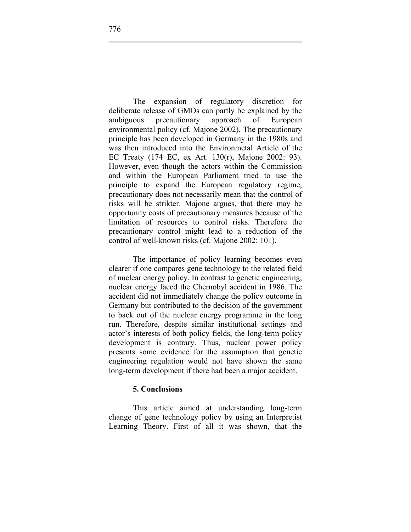The expansion of regulatory discretion for deliberate release of GMOs can partly be explained by the ambiguous precautionary approach of European environmental policy (cf. Majone 2002). The precautionary principle has been developed in Germany in the 1980s and was then introduced into the Environmetal Article of the EC Treaty (174 EC, ex Art. 130(r), Majone 2002: 93). However, even though the actors within the Commission and within the European Parliament tried to use the principle to expand the European regulatory regime, precautionary does not necessarily mean that the control of risks will be strikter. Majone argues, that there may be opportunity costs of precautionary measures because of the limitation of resources to control risks. Therefore the precautionary control might lead to a reduction of the control of well-known risks (cf. Majone 2002: 101).

The importance of policy learning becomes even clearer if one compares gene technology to the related field of nuclear energy policy. In contrast to genetic engineering, nuclear energy faced the Chernobyl accident in 1986. The accident did not immediately change the policy outcome in Germany but contributed to the decision of the government to back out of the nuclear energy programme in the long run. Therefore, despite similar institutional settings and actor's interests of both policy fields, the long-term policy development is contrary. Thus, nuclear power policy presents some evidence for the assumption that genetic engineering regulation would not have shown the same long-term development if there had been a major accident.

#### **5. Conclusions**

This article aimed at understanding long-term change of gene technology policy by using an Interpretist Learning Theory. First of all it was shown, that the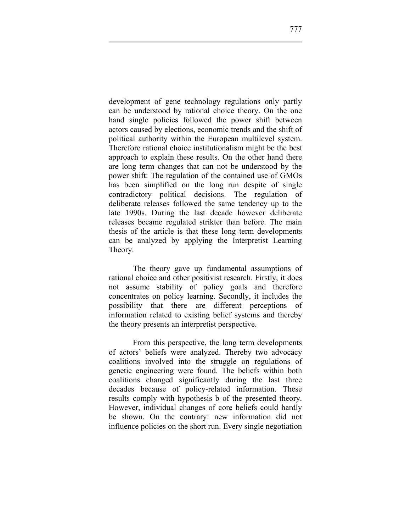development of gene technology regulations only partly can be understood by rational choice theory. On the one hand single policies followed the power shift between actors caused by elections, economic trends and the shift of political authority within the European multilevel system. Therefore rational choice institutionalism might be the best approach to explain these results. On the other hand there are long term changes that can not be understood by the power shift: The regulation of the contained use of GMOs has been simplified on the long run despite of single contradictory political decisions. The regulation of deliberate releases followed the same tendency up to the late 1990s. During the last decade however deliberate releases became regulated strikter than before. The main thesis of the article is that these long term developments can be analyzed by applying the Interpretist Learning Theory.

The theory gave up fundamental assumptions of rational choice and other positivist research. Firstly, it does not assume stability of policy goals and therefore concentrates on policy learning. Secondly, it includes the possibility that there are different perceptions of information related to existing belief systems and thereby the theory presents an interpretist perspective.

From this perspective, the long term developments of actors' beliefs were analyzed. Thereby two advocacy coalitions involved into the struggle on regulations of genetic engineering were found. The beliefs within both coalitions changed significantly during the last three decades because of policy-related information. These results comply with hypothesis b of the presented theory. However, individual changes of core beliefs could hardly be shown. On the contrary: new information did not influence policies on the short run. Every single negotiation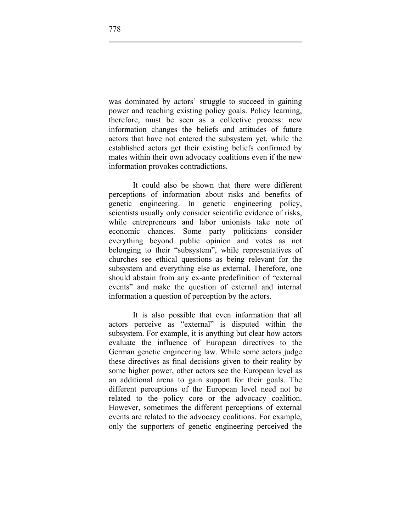was dominated by actors' struggle to succeed in gaining power and reaching existing policy goals. Policy learning, therefore, must be seen as a collective process: new information changes the beliefs and attitudes of future actors that have not entered the subsystem yet, while the established actors get their existing beliefs confirmed by mates within their own advocacy coalitions even if the new information provokes contradictions.

It could also be shown that there were different perceptions of information about risks and benefits of genetic engineering. In genetic engineering policy, scientists usually only consider scientific evidence of risks, while entrepreneurs and labor unionists take note of economic chances. Some party politicians consider everything beyond public opinion and votes as not belonging to their "subsystem", while representatives of churches see ethical questions as being relevant for the subsystem and everything else as external. Therefore, one should abstain from any ex-ante predefinition of "external events" and make the question of external and internal information a question of perception by the actors.

It is also possible that even information that all actors perceive as "external" is disputed within the subsystem. For example, it is anything but clear how actors evaluate the influence of European directives to the German genetic engineering law. While some actors judge these directives as final decisions given to their reality by some higher power, other actors see the European level as an additional arena to gain support for their goals. The different perceptions of the European level need not be related to the policy core or the advocacy coalition. However, sometimes the different perceptions of external events are related to the advocacy coalitions. For example, only the supporters of genetic engineering perceived the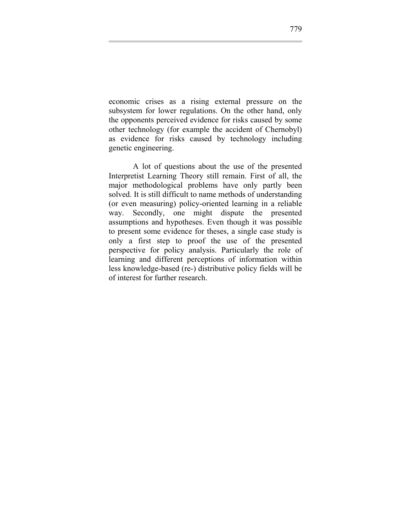economic crises as a rising external pressure on the subsystem for lower regulations. On the other hand, only the opponents perceived evidence for risks caused by some other technology (for example the accident of Chernobyl) as evidence for risks caused by technology including genetic engineering.

A lot of questions about the use of the presented Interpretist Learning Theory still remain. First of all, the major methodological problems have only partly been solved. It is still difficult to name methods of understanding (or even measuring) policy-oriented learning in a reliable way. Secondly, one might dispute the presented assumptions and hypotheses. Even though it was possible to present some evidence for theses, a single case study is only a first step to proof the use of the presented perspective for policy analysis. Particularly the role of learning and different perceptions of information within less knowledge-based (re-) distributive policy fields will be of interest for further research.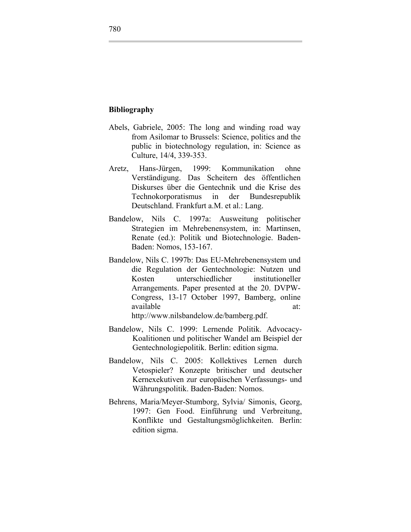#### **Bibliography**

- Abels, Gabriele, 2005: The long and winding road way from Asilomar to Brussels: Science, politics and the public in biotechnology regulation, in: Science as Culture, 14/4, 339-353.
- Aretz, Hans-Jürgen, 1999: Kommunikation ohne Verständigung. Das Scheitern des öffentlichen Diskurses über die Gentechnik und die Krise des Technokorporatismus in der Bundesrepublik Deutschland. Frankfurt a.M. et al.: Lang.
- Bandelow, Nils C. 1997a: Ausweitung politischer Strategien im Mehrebenensystem, in: Martinsen, Renate (ed.): Politik und Biotechnologie. Baden-Baden: Nomos, 153-167.
- Bandelow, Nils C. 1997b: Das EU-Mehrebenensystem und die Regulation der Gentechnologie: Nutzen und Kosten unterschiedlicher institutioneller Arrangements. Paper presented at the 20. DVPW-Congress, 13-17 October 1997, Bamberg, online available at: at:

http://www.nilsbandelow.de/bamberg.pdf.

- Bandelow, Nils C. 1999: Lernende Politik. Advocacy-Koalitionen und politischer Wandel am Beispiel der Gentechnologiepolitik. Berlin: edition sigma.
- Bandelow, Nils C. 2005: Kollektives Lernen durch Vetospieler? Konzepte britischer und deutscher Kernexekutiven zur europäischen Verfassungs- und Währungspolitik. Baden-Baden: Nomos.
- Behrens, Maria/Meyer-Stumborg, Sylvia/ Simonis, Georg, 1997: Gen Food. Einführung und Verbreitung, Konflikte und Gestaltungsmöglichkeiten. Berlin: edition sigma.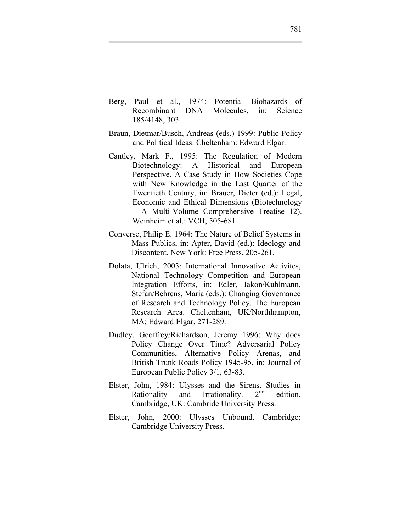- Berg, Paul et al., 1974: Potential Biohazards of Recombinant DNA Molecules, in: Science 185/4148, 303.
- Braun, Dietmar/Busch, Andreas (eds.) 1999: Public Policy and Political Ideas: Cheltenham: Edward Elgar.
- Cantley, Mark F., 1995: The Regulation of Modern Biotechnology: A Historical and European Perspective. A Case Study in How Societies Cope with New Knowledge in the Last Quarter of the Twentieth Century, in: Brauer, Dieter (ed.): Legal, Economic and Ethical Dimensions (Biotechnology – A Multi-Volume Comprehensive Treatise 12). Weinheim et al.: VCH, 505-681.
- Converse, Philip E. 1964: The Nature of Belief Systems in Mass Publics, in: Apter, David (ed.): Ideology and Discontent. New York: Free Press, 205-261.
- Dolata, Ulrich, 2003: International Innovative Activites, National Technology Competition and European Integration Efforts, in: Edler, Jakon/Kuhlmann, Stefan/Behrens, Maria (eds.): Changing Governance of Research and Technology Policy. The European Research Area. Cheltenham, UK/Northhampton, MA: Edward Elgar, 271-289.
- Dudley, Geoffrey/Richardson, Jeremy 1996: Why does Policy Change Over Time? Adversarial Policy Communities, Alternative Policy Arenas, and British Trunk Roads Policy 1945-95, in: Journal of European Public Policy 3/1, 63-83.
- Elster, John, 1984: Ulysses and the Sirens. Studies in Rationality and Irrationality.  $2<sup>nd</sup>$  edition. Cambridge, UK: Cambride University Press.
- Elster, John, 2000: Ulysses Unbound. Cambridge: Cambridge University Press.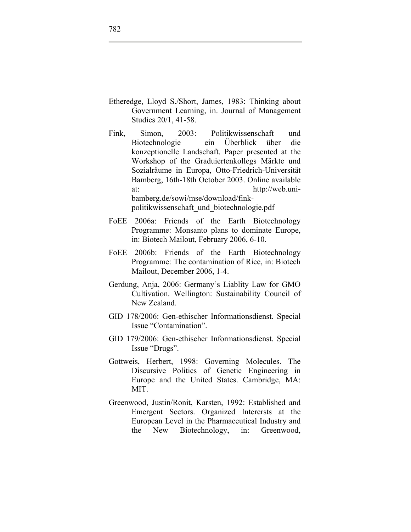- Etheredge, Lloyd S./Short, James, 1983: Thinking about Government Learning, in. Journal of Management Studies 20/1, 41-58.
- Fink, Simon, 2003: Politikwissenschaft und Biotechnologie – ein Überblick über die konzeptionelle Landschaft. Paper presented at the Workshop of the Graduiertenkollegs Märkte und Sozialräume in Europa, Otto-Friedrich-Universität Bamberg, 16th-18th October 2003. Online available at: http://web.unibamberg.de/sowi/mse/download/finkpolitikwissenschaft\_und\_biotechnologie.pdf
- FoEE 2006a: Friends of the Earth Biotechnology Programme: Monsanto plans to dominate Europe, in: Biotech Mailout, February 2006, 6-10.
- FoEE 2006b: Friends of the Earth Biotechnology Programme: The contamination of Rice, in: Biotech Mailout, December 2006, 1-4.
- Gerdung, Anja, 2006: Germany's Liablity Law for GMO Cultivation. Wellington: Sustainability Council of New Zealand.
- GID 178/2006: Gen-ethischer Informationsdienst. Special Issue "Contamination".
- GID 179/2006: Gen-ethischer Informationsdienst. Special Issue "Drugs".
- Gottweis, Herbert, 1998: Governing Molecules. The Discursive Politics of Genetic Engineering in Europe and the United States. Cambridge, MA: MIT.
- Greenwood, Justin/Ronit, Karsten, 1992: Established and Emergent Sectors. Organized Interersts at the European Level in the Pharmaceutical Industry and the New Biotechnology, in: Greenwood,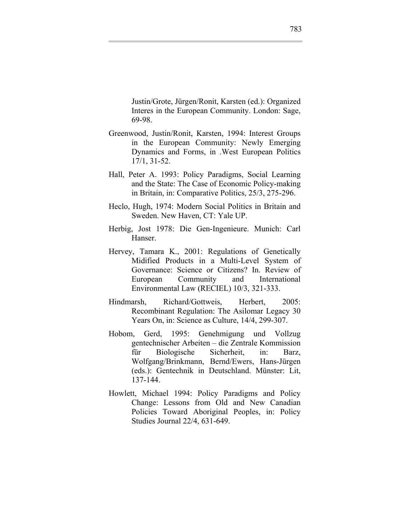Justin/Grote, Jürgen/Ronit, Karsten (ed.): Organized Interes in the European Community. London: Sage, 69-98.

- Greenwood, Justin/Ronit, Karsten, 1994: Interest Groups in the European Community: Newly Emerging Dynamics and Forms, in .West European Politics 17/1, 31-52.
- Hall, Peter A. 1993: Policy Paradigms, Social Learning and the State: The Case of Economic Policy-making in Britain, in: Comparative Politics, 25/3, 275-296.
- Heclo, Hugh, 1974: Modern Social Politics in Britain and Sweden. New Haven, CT: Yale UP.
- Herbig, Jost 1978: Die Gen-Ingenieure. Munich: Carl Hanser.
- Hervey, Tamara K., 2001: Regulations of Genetically Midified Products in a Multi-Level System of Governance: Science or Citizens? In. Review of European Community and International Environmental Law (RECIEL) 10/3, 321-333.
- Hindmarsh, Richard/Gottweis, Herbert, 2005: Recombinant Regulation: The Asilomar Legacy 30 Years On, in: Science as Culture, 14/4, 299-307.
- Hobom, Gerd, 1995: Genehmigung und Vollzug gentechnischer Arbeiten – die Zentrale Kommission für Biologische Sicherheit, in: Barz, Wolfgang/Brinkmann, Bernd/Ewers, Hans-Jürgen (eds.): Gentechnik in Deutschland. Münster: Lit, 137-144.
- Howlett, Michael 1994: Policy Paradigms and Policy Change: Lessons from Old and New Canadian Policies Toward Aboriginal Peoples, in: Policy Studies Journal 22/4, 631-649.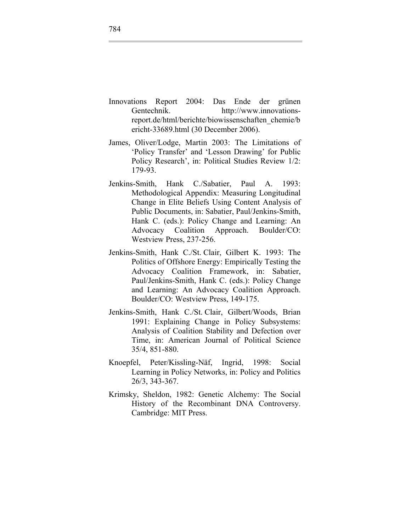- Innovations Report 2004: Das Ende der grünen Gentechnik. http://www.innovationsreport.de/html/berichte/biowissenschaften\_chemie/b ericht-33689.html (30 December 2006).
- James, Oliver/Lodge, Martin 2003: The Limitations of 'Policy Transfer' and 'Lesson Drawing' for Public Policy Research', in: Political Studies Review 1/2: 179-93.
- Jenkins-Smith, Hank C./Sabatier, Paul A. 1993: Methodological Appendix: Measuring Longitudinal Change in Elite Beliefs Using Content Analysis of Public Documents, in: Sabatier, Paul/Jenkins-Smith, Hank C. (eds.): Policy Change and Learning: An Advocacy Coalition Approach. Boulder/CO: Westview Press, 237-256.
- Jenkins-Smith, Hank C./St. Clair, Gilbert K. 1993: The Politics of Offshore Energy: Empirically Testing the Advocacy Coalition Framework, in: Sabatier, Paul/Jenkins-Smith, Hank C. (eds.): Policy Change and Learning: An Advocacy Coalition Approach. Boulder/CO: Westview Press, 149-175.
- Jenkins-Smith, Hank C./St. Clair, Gilbert/Woods, Brian 1991: Explaining Change in Policy Subsystems: Analysis of Coalition Stability and Defection over Time, in: American Journal of Political Science 35/4, 851-880.
- Knoepfel, Peter/Kissling-Näf, Ingrid, 1998: Social Learning in Policy Networks, in: Policy and Politics 26/3, 343-367.
- Krimsky, Sheldon, 1982: Genetic Alchemy: The Social History of the Recombinant DNA Controversy. Cambridge: MIT Press.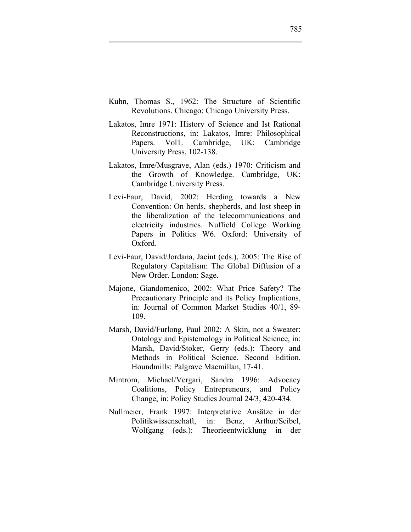- Kuhn, Thomas S., 1962: The Structure of Scientific Revolutions. Chicago: Chicago University Press.
- Lakatos, Imre 1971: History of Science and Ist Rational Reconstructions, in: Lakatos, Imre: Philosophical Papers. Vol1. Cambridge, UK: Cambridge University Press, 102-138.
- Lakatos, Imre/Musgrave, Alan (eds.) 1970: Criticism and the Growth of Knowledge. Cambridge, UK: Cambridge University Press.
- Levi-Faur, David, 2002: Herding towards a New Convention: On herds, shepherds, and lost sheep in the liberalization of the telecommunications and electricity industries. Nuffield College Working Papers in Politics W6. Oxford: University of Oxford.
- Levi-Faur, David/Jordana, Jacint (eds.), 2005: The Rise of Regulatory Capitalism: The Global Diffusion of a New Order. London: Sage.
- Majone, Giandomenico, 2002: What Price Safety? The Precautionary Principle and its Policy Implications, in: Journal of Common Market Studies 40/1, 89- 109.
- Marsh, David/Furlong, Paul 2002: A Skin, not a Sweater: Ontology and Epistemology in Political Science, in: Marsh, David/Stoker, Gerry (eds.): Theory and Methods in Political Science. Second Edition. Houndmills: Palgrave Macmillan, 17-41.
- Mintrom, Michael/Vergari, Sandra 1996: Advocacy Coalitions, Policy Entrepreneurs, and Policy Change, in: Policy Studies Journal 24/3, 420-434.
- Nullmeier, Frank 1997: Interpretative Ansätze in der Politikwissenschaft, in: Benz, Arthur/Seibel, Wolfgang (eds.): Theorieentwicklung in der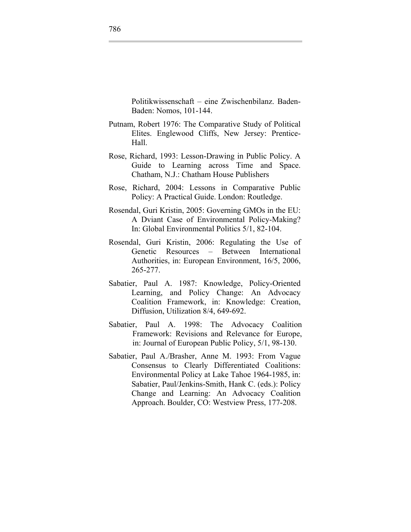Politikwissenschaft – eine Zwischenbilanz. Baden-Baden: Nomos, 101-144.

- Putnam, Robert 1976: The Comparative Study of Political Elites. Englewood Cliffs, New Jersey: Prentice-Hall.
- Rose, Richard, 1993: Lesson-Drawing in Public Policy. A Guide to Learning across Time and Space. Chatham, N.J.: Chatham House Publishers
- Rose, Richard, 2004: Lessons in Comparative Public Policy: A Practical Guide. London: Routledge.
- Rosendal, Guri Kristin, 2005: Governing GMOs in the EU: A Dviant Case of Environmental Policy-Making? In: Global Environmental Politics 5/1, 82-104.
- Rosendal, Guri Kristin, 2006: Regulating the Use of Genetic Resources – Between International Authorities, in: European Environment, 16/5, 2006, 265-277.
- Sabatier, Paul A. 1987: Knowledge, Policy-Oriented Learning, and Policy Change: An Advocacy Coalition Framework, in: Knowledge: Creation, Diffusion, Utilization 8/4, 649-692.
- Sabatier, Paul A. 1998: The Advocacy Coalition Framework: Revisions and Relevance for Europe, in: Journal of European Public Policy, 5/1, 98-130.
- Sabatier, Paul A./Brasher, Anne M. 1993: From Vague Consensus to Clearly Differentiated Coalitions: Environmental Policy at Lake Tahoe 1964-1985, in: Sabatier, Paul/Jenkins-Smith, Hank C. (eds.): Policy Change and Learning: An Advocacy Coalition Approach. Boulder, CO: Westview Press, 177-208.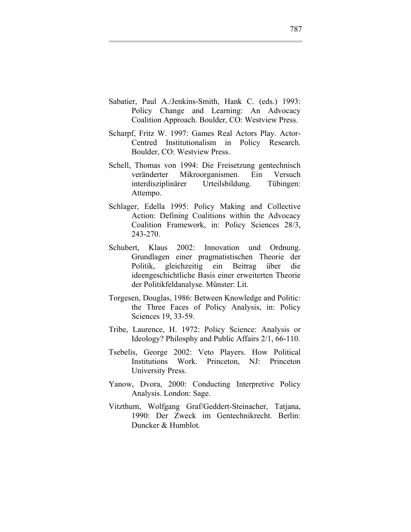- Sabatier, Paul A./Jenkins-Smith, Hank C. (eds.) 1993: Policy Change and Learning: An Advocacy Coalition Approach. Boulder, CO: Westview Press.
- Scharpf, Fritz W. 1997: Games Real Actors Play. Actor-Centred Institutionalism in Policy Research. Boulder, CO: Westview Press.
- Schell, Thomas von 1994: Die Freisetzung gentechnisch veränderter Mikroorganismen. Ein Versuch interdisziplinärer Urteilsbildung. Tübingen: Attempo.
- Schlager, Edella 1995: Policy Making and Collective Action: Defining Coalitions within the Advocacy Coalition Framework, in: Policy Sciences 28/3, 243-270.
- Schubert, Klaus 2002: Innovation und Ordnung. Grundlagen einer pragmatistischen Theorie der Politik, gleichzeitig ein Beitrag über die ideengeschichtliche Basis einer erweiterten Theorie der Politikfeldanalyse. Münster: Lit.
- Torgesen, Douglas, 1986: Between Knowledge and Politic: the Three Faces of Policy Analysis, in: Policy Sciences 19, 33-59.
- Tribe, Laurence, H. 1972: Policy Science: Analysis or Ideology? Philosphy and Public Affairs 2/1, 66-110.
- Tsebelis, George 2002: Veto Players. How Political Institutions Work. Princeton, NJ: Princeton University Press.
- Yanow, Dvora, 2000: Conducting Interpretive Policy Analysis. London: Sage.
- Vitzthum, Wolfgang Graf/Geddert-Steinacher, Tatjana, 1990: Der Zweck im Gentechnikrecht. Berlin: Duncker & Humblot.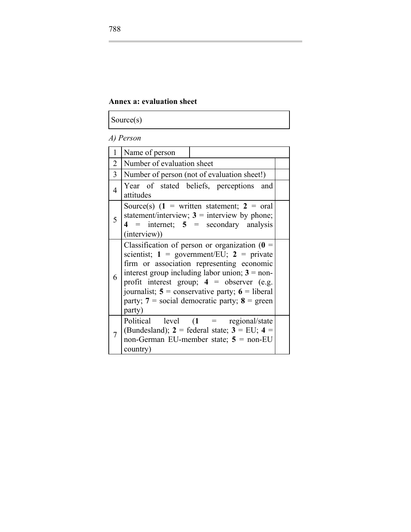## **Annex a: evaluation sheet**

Source(s)

## *A) Person*

| $\mathbf{1}$   | Name of person                                                                                                                                                                                                                                                                                                                                                              |  |
|----------------|-----------------------------------------------------------------------------------------------------------------------------------------------------------------------------------------------------------------------------------------------------------------------------------------------------------------------------------------------------------------------------|--|
| $\overline{2}$ | Number of evaluation sheet                                                                                                                                                                                                                                                                                                                                                  |  |
| 3              | Number of person (not of evaluation sheet!)                                                                                                                                                                                                                                                                                                                                 |  |
| $\overline{4}$ | Year of stated beliefs, perceptions and<br>attitudes                                                                                                                                                                                                                                                                                                                        |  |
| 5              | Source(s) $(1 = written statement; 2 = oral)$<br>statement/interview; $3$ = interview by phone;<br>$4$ = internet; $5$ = secondary analysis<br>(interview))                                                                                                                                                                                                                 |  |
| 6              | Classification of person or organization $(0 =$<br>scientist; $1 =$ government/EU; $2 =$ private<br>firm or association representing economic<br>interest group including labor union; $3 =$ non-<br>profit interest group; $4 =$ observer (e.g.<br>journalist; $5 =$ conservative party; $6 =$ liberal<br>party; $7 = \text{social democratic party};$ 8 = green<br>party) |  |
|                | Political level $(1$ = regional/state<br>(Bundesland); $2 =$ federal state; $3 =$ EU; $4 =$<br>non-German EU-member state; $5 = \text{non-EU}$<br>country)                                                                                                                                                                                                                  |  |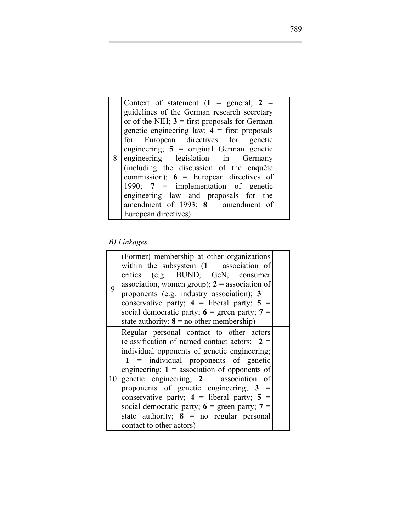8 engineering legislation in Germany Context of statement  $(1 = \text{general}; 2 = \text{general})$ guidelines of the German research secretary or of the NIH;  $3 =$  first proposals for German genetic engineering law;  $4 =$  first proposals for European directives for genetic engineering; **5** = original German genetic (including the discussion of the enquête commission);  $6 =$  European directives of 1990; **7** = implementation of genetic engineering law and proposals for the amendment of 1993;  $8 =$  amendment of European directives)

#### *B) Linkages*

| 9 | (Former) membership at other organizations<br>within the subsystem $(1 =$ association of<br>critics (e.g. BUND, GeN, consumer<br>association, women group); $2 =$ association of<br>proponents (e.g. industry association); $3 =$<br>conservative party; $4 =$ liberal party; $5 =$<br>social democratic party; $6 =$ green party; $7 =$<br>state authority; $8 =$ no other membership)                                                                                                                               |  |
|---|-----------------------------------------------------------------------------------------------------------------------------------------------------------------------------------------------------------------------------------------------------------------------------------------------------------------------------------------------------------------------------------------------------------------------------------------------------------------------------------------------------------------------|--|
|   | Regular personal contact to other actors<br>(classification of named contact actors: $-2 =$<br>individual opponents of genetic engineering;<br>$-1$ = individual proponents of genetic<br>engineering; $1 =$ association of opponents of<br>10 genetic engineering; $2 =$ association of<br>proponents of genetic engineering; $3 =$<br>conservative party; $4 =$ liberal party; $5 =$<br>social democratic party; $6 =$ green party; $7 =$<br>state authority; $8 = no$ regular personal<br>contact to other actors) |  |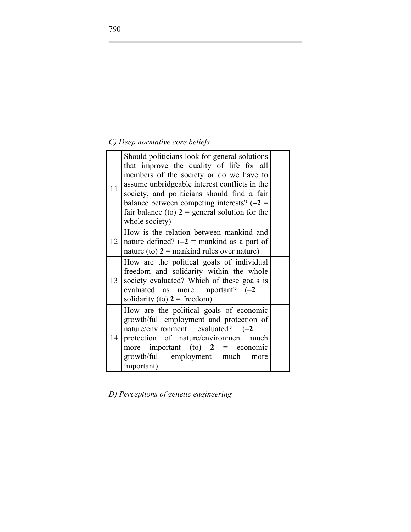# *C) Deep normative core beliefs*

| 11 | Should politicians look for general solutions<br>that improve the quality of life for all<br>members of the society or do we have to<br>assume unbridgeable interest conflicts in the<br>society, and politicians should find a fair<br>balance between competing interests? $(-2)$<br>fair balance (to) $2$ = general solution for the<br>whole society) |  |
|----|-----------------------------------------------------------------------------------------------------------------------------------------------------------------------------------------------------------------------------------------------------------------------------------------------------------------------------------------------------------|--|
| 12 | How is the relation between mankind and<br>nature defined? $(-2)$ = mankind as a part of<br>nature (to) $2 =$ mankind rules over nature)                                                                                                                                                                                                                  |  |
| 13 | How are the political goals of individual<br>freedom and solidarity within the whole<br>society evaluated? Which of these goals is<br>evaluated as more important? $(-2)$<br>solidarity (to) $2 = \text{freedom}$ )                                                                                                                                       |  |
| 14 | How are the political goals of economic<br>growth/full employment and protection of<br>nature/environment evaluated? (-2<br>protection of nature/environment much<br>more important (to) $2 =$ economic<br>growth/full employment much<br>more<br><i>important</i> )                                                                                      |  |

*D) Perceptions of genetic engineering*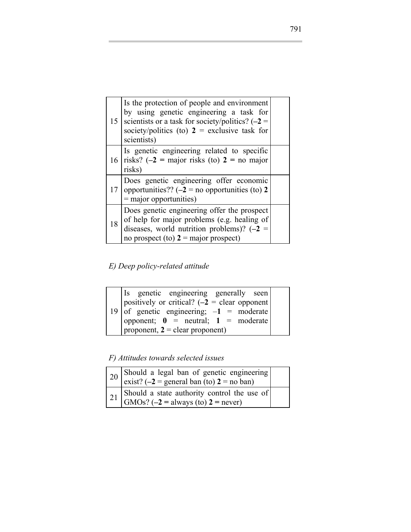|    | Is the protection of people and environment<br>by using genetic engineering a task for<br>15   scientists or a task for society/politics? $(-2)$<br>society/politics (to) $2 =$ exclusive task for<br>scientists) |  |
|----|-------------------------------------------------------------------------------------------------------------------------------------------------------------------------------------------------------------------|--|
|    | Is genetic engineering related to specific<br>16 risks? $(-2)$ = major risks (to) $2$ = no major<br>risks)                                                                                                        |  |
|    | Does genetic engineering offer economic<br>17   opportunities?? $(-2 =$ no opportunities (to) 2<br>$=$ major opportunities)                                                                                       |  |
| 18 | Does genetic engineering offer the prospect<br>of help for major problems (e.g. healing of<br>diseases, world nutrition problems)? $(-2)$<br>no prospect (to) $2 = \text{major prospect}$ )                       |  |

*E) Deep policy-related attitude*

| Is genetic engineering generally seen                     |  |  |  |  |  |  |
|-----------------------------------------------------------|--|--|--|--|--|--|
| positively or critical? $(-2)$ = clear opponent           |  |  |  |  |  |  |
| 19 of genetic engineering; $-1$ = moderate                |  |  |  |  |  |  |
| opponent; $\mathbf{0}$ = neutral; $\mathbf{1}$ = moderate |  |  |  |  |  |  |
| proponent, $2 =$ clear proponent)                         |  |  |  |  |  |  |

*F) Attitudes towards selected issues* 

| 20 Should a legal ban of genetic engineering<br>exist? (-2 = general ban (to) 2 = no ban)                                                        |  |
|--------------------------------------------------------------------------------------------------------------------------------------------------|--|
| 21 Should a state authority control the use of $\begin{bmatrix} 21 & \text{SMOs? } (-2 = \text{always } (t_0) \ 2 = \text{never}) \end{bmatrix}$ |  |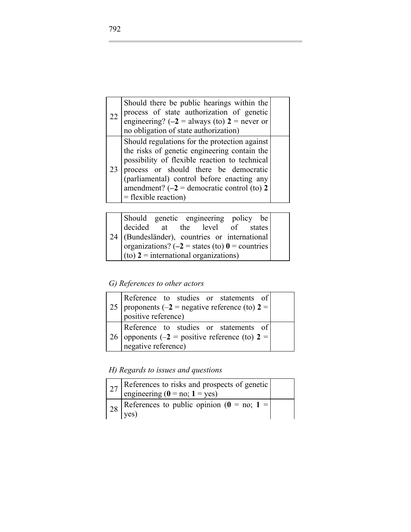| 22 | Should there be public hearings within the<br>process of state authorization of genetic<br>engineering? ( $-2$ = always (to) 2 = never or<br>no obligation of state authorization)                                                                                                                               |  |
|----|------------------------------------------------------------------------------------------------------------------------------------------------------------------------------------------------------------------------------------------------------------------------------------------------------------------|--|
| 23 | Should regulations for the protection against<br>the risks of genetic engineering contain the<br>possibility of flexible reaction to technical<br>process or should there be democratic<br>(parliamental) control before enacting any<br>amendment? $(-2)$ = democratic control (to) 2<br>$=$ flexible reaction) |  |

| Should genetic engineering policy be                |  |  |  |  |
|-----------------------------------------------------|--|--|--|--|
| decided at the level of states                      |  |  |  |  |
| $24$ (Bundesländer), countries or international     |  |  |  |  |
| organizations? ( $-2$ = states (to) $0$ = countries |  |  |  |  |
| $\vert$ (to) 2 = international organizations)       |  |  |  |  |

*G) References to other actors* 

| Reference to studies or statements of<br>25   proponents (-2 = negative reference (to) $2 = \sqrt{ }$<br>positive reference) |  |
|------------------------------------------------------------------------------------------------------------------------------|--|
| Reference to studies or statements of<br>26   opponents (-2 = positive reference (to) $2 =$<br>negative reference)           |  |

*H) Regards to issues and questions* 

| 27 References to risks and prospects of genetic engineering $(0 = no; 1 = yes)$            |  |
|--------------------------------------------------------------------------------------------|--|
| $\begin{bmatrix} 28 \\ 28 \end{bmatrix}$ References to public opinion (0 = no; 1 =<br>yes) |  |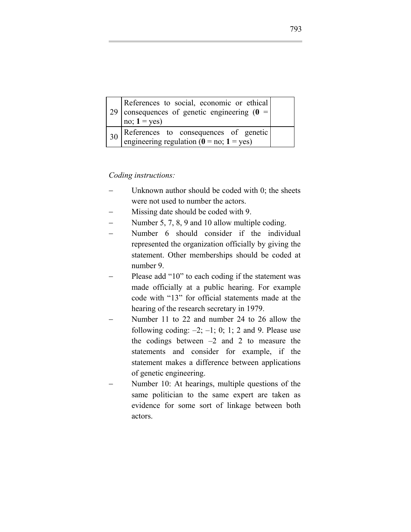|    | References to social, economic or ethical<br>29   consequences of genetic engineering $(0 =$<br>no; $1 = yes$ ) |  |
|----|-----------------------------------------------------------------------------------------------------------------|--|
| 30 | References to consequences of genetic<br>engineering regulation ( $\hat{\mathbf{0}} =$ no; $\mathbf{1} =$ yes)  |  |

#### *Coding instructions:*

- Unknown author should be coded with  $0$ ; the sheets were not used to number the actors.
- − Missing date should be coded with 9.
- Number 5, 7, 8, 9 and 10 allow multiple coding.
- Number 6 should consider if the individual represented the organization officially by giving the statement. Other memberships should be coded at number 9.
- Please add "10" to each coding if the statement was made officially at a public hearing. For example code with "13" for official statements made at the hearing of the research secretary in 1979.
- − Number 11 to 22 and number 24 to 26 allow the following coding:  $-2$ ;  $-1$ ; 0; 1; 2 and 9. Please use the codings between  $-2$  and 2 to measure the statements and consider for example, if the statement makes a difference between applications of genetic engineering.
- Number 10: At hearings, multiple questions of the same politician to the same expert are taken as evidence for some sort of linkage between both actors.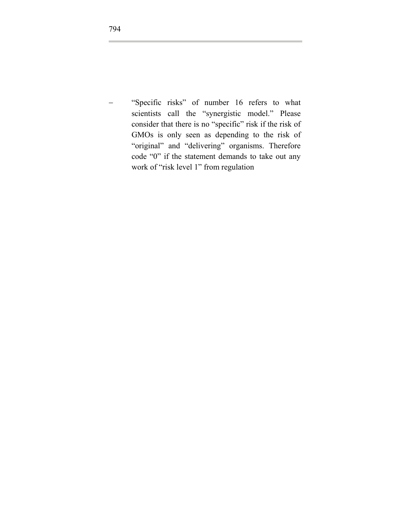"Specific risks" of number 16 refers to what scientists call the "synergistic model." Please consider that there is no "specific" risk if the risk of GMOs is only seen as depending to the risk of "original" and "delivering" organisms. Therefore code "0" if the statement demands to take out any work of "risk level 1" from regulation